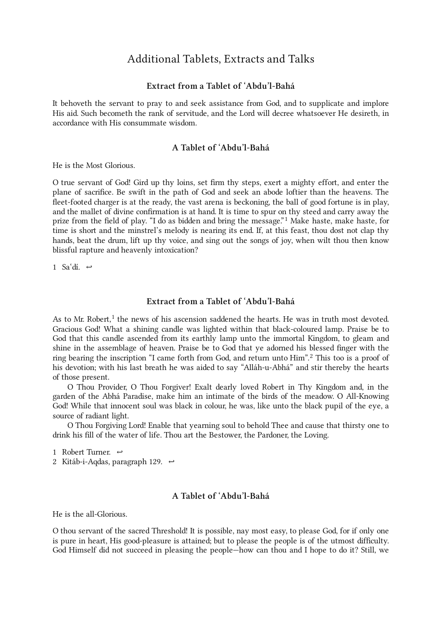# Additional Tablets, Extracts and Talks

# Extract from a Tablet of 'Abdu'l-Bahá

It behoveth the servant to pray to and seek assistance from God, and to supplicate and implore His aid. Such becometh the rank of servitude, and the Lord will decree whatsoever He desireth, in accordance with His consummate wisdom.

### A Tablet of 'Abdu'l‑Bahá

He is the Most Glorious.

<span id="page-0-1"></span>O true servant of God! Gird up thy loins, set firm thy steps, exert a mighty effort, and enter the plane of sacrifice. Be swift in the path of God and seek an abode loftier than the heavens. The fleet-footed charger is at the ready, the vast arena is beckoning, the ball of good fortune is in play, and the mallet of divine confirmation is at hand. It is time to spur on thy steed and carry away the prize from the field of play. "I do as bidden and bring the message."<sup>[1](#page-0-0)</sup> Make haste, make haste, for time is short and the minstrel's melody is nearing its end. If, at this feast, thou dost not clap thy hands, beat the drum, lift up thy voice, and sing out the songs of joy, when wilt thou then know blissful rapture and heavenly intoxication?

<span id="page-0-0"></span>Sa'dí. [↩](#page-0-1) 1

# Extract from a Tablet of 'Abdu'l-Bahá

<span id="page-0-4"></span>As to Mr. Robert, [1](#page-0-2) the news of his ascension saddened the hearts. He was in truth most devoted. Gracious God! What a shining candle was lighted within that black-coloured lamp. Praise be to God that this candle ascended from its earthly lamp unto the immortal Kingdom, to gleam and shine in the assemblage of heaven. Praise be to God that ye adorned his blessed finger with the ring bearing the inscription "I came forth from God, and return unto Him". [2](#page-0-3) This too is a proof of his devotion; with his last breath he was aided to say "Alláh-u-Abhá" and stir thereby the hearts of those present.

O Thou Provider, O Thou Forgiver! Exalt dearly loved Robert in Thy Kingdom and, in the garden of the Abhá Paradise, make him an intimate of the birds of the meadow. O All-Knowing God! While that innocent soul was black in colour, he was, like unto the black pupil of the eye, a source of radiant light.

O Thou Forgiving Lord! Enable that yearning soul to behold Thee and cause that thirsty one to drink his fill of the water of life. Thou art the Bestower, the Pardoner, the Loving.

<span id="page-0-2"></span>1 Robert Turner.  $\leftrightarrow$ 

<span id="page-0-3"></span>2 Kitáb-i-Aqdas, paragraph 129.  $\leftrightarrow$ 

# A Tablet of 'Abdu'l‑Bahá

He is the all-Glorious.

<span id="page-0-5"></span>O thou servant of the sacred Threshold! It is possible, nay most easy, to please God, for if only one is pure in heart, His good-pleasure is attained; but to please the people is of the utmost difficulty. God Himself did not succeed in pleasing the people—how can thou and I hope to do it? Still, we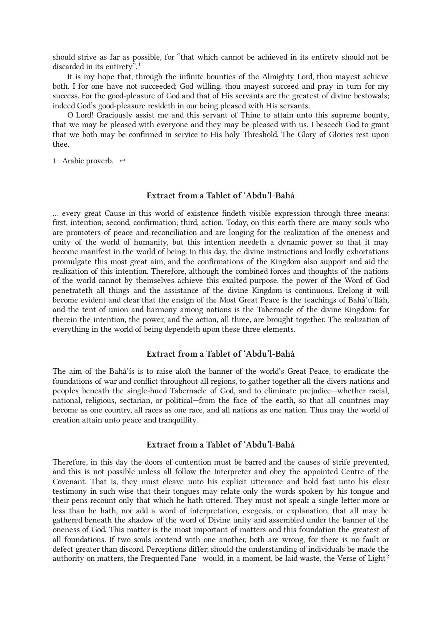should strive as far as possible, for "that which cannot be achieved in its entirety should not be discarded in its entirety".<sup>[1](#page-1-0)</sup>

It is my hope that, through the infinite bounties of the Almighty Lord, thou mayest achieve both. I for one have not succeeded; God willing, thou mayest succeed and pray in turn for my success. For the good-pleasure of God and that of His servants are the greatest of divine bestowals; indeed God's good-pleasure resideth in our being pleased with His servants.

O Lord! Graciously assist me and this servant of Thine to attain unto this supreme bounty, that we may be pleased with everyone and they may be pleased with us. I beseech God to grant that we both may be confirmed in service to His holy Threshold. The Glory of Glories rest upon thee.

<span id="page-1-0"></span>1 Arabic proverb.  $\leftrightarrow$ 

#### Extract from a Tablet of 'Abdu'l-Bahá

... every great Cause in this world of existence findeth visible expression through three means: first, intention; second, confirmation; third, action. Today, on this earth there are many souls who are promoters of peace and reconciliation and are longing for the realization of the oneness and unity of the world of humanity, but this intention needeth a dynamic power so that it may become manifest in the world of being. In this day, the divine instructions and lordly exhortations promulgate this most great aim, and the confirmations of the Kingdom also support and aid the realization of this intention. Therefore, although the combined forces and thoughts of the nations of the world cannot by themselves achieve this exalted purpose, the power of the Word of God penetrateth all things and the assistance of the divine Kingdom is continuous. Erelong it will become evident and clear that the ensign of the Most Great Peace is the teachings of Bahá'u'lláh, and the tent of union and harmony among nations is the Tabernacle of the divine Kingdom; for therein the intention, the power, and the action, all three, are brought together. The realization of everything in the world of being dependeth upon these three elements.

# Extract from a Tablet of 'Abdu'l-Bahá

The aim of the Bahá'ís is to raise aloft the banner of the world's Great Peace, to eradicate the foundations of war and conflict throughout all regions, to gather together all the divers nations and peoples beneath the single-hued Tabernacle of God, and to eliminate prejudice—whether racial, national, religious, sectarian, or political—from the face of the earth, so that all countries may become as one country, all races as one race, and all nations as one nation. Thus may the world of creation attain unto peace and tranquillity.

# Extract from a Tablet of 'Abdu'l‑Bahá

<span id="page-1-1"></span>Therefore, in this day the doors of contention must be barred and the causes of strife prevented, and this is not possible unless all follow the Interpreter and obey the appointed Centre of the Covenant. That is, they must cleave unto his explicit utterance and hold fast unto his clear testimony in such wise that their tongues may relate only the words spoken by his tongue and their pens recount only that which he hath uttered. They must not speak a single letter more or less than he hath, nor add a word of interpretation, exegesis, or explanation, that all may be gathered beneath the shadow of the word of Divine unity and assembled under the banner of the oneness of God. This matter is the most important of matters and this foundation the greatest of all foundations. If two souls contend with one another, both are wrong, for there is no fault or defect greater than discord. Perceptions differ; should the understanding of individuals be made the authority on matters, the Frequented Fane $^1$  $^1$  would, in a moment, be laid waste, the Verse of Light $^2$  $^2$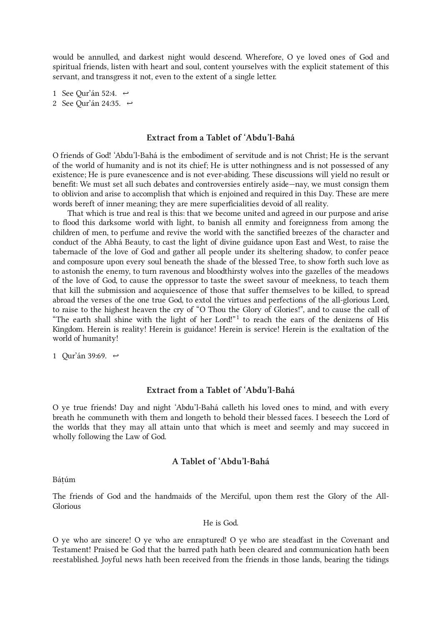would be annulled, and darkest night would descend. Wherefore, O ye loved ones of God and spiritual friends, listen with heart and soul, content yourselves with the explicit statement of this servant, and transgress it not, even to the extent of a single letter.

- <span id="page-2-0"></span>1 See Qur'án 52:4. ↔
- <span id="page-2-1"></span>2 See Qur'án 24:35. ↔

## Extract from a Tablet of 'Abdu'l‑Bahá

O friends of God! 'Abdu'l‑Bahá is the embodiment of servitude and is not Christ; He is the servant of the world of humanity and is not its chief; He is utter nothingness and is not possessed of any existence; He is pure evanescence and is not ever-abiding. These discussions will yield no result or benefit: We must set all such debates and controversies entirely aside—nay, we must consign them to oblivion and arise to accomplish that which is enjoined and required in this Day. These are mere words bereft of inner meaning; they are mere superficialities devoid of all reality.

<span id="page-2-3"></span>That which is true and real is this: that we become united and agreed in our purpose and arise to flood this darksome world with light, to banish all enmity and foreignness from among the children of men, to perfume and revive the world with the sanctified breezes of the character and conduct of the Abhá Beauty, to cast the light of divine guidance upon East and West, to raise the tabernacle of the love of God and gather all people under its sheltering shadow, to confer peace and composure upon every soul beneath the shade of the blessed Tree, to show forth such love as to astonish the enemy, to turn ravenous and bloodthirsty wolves into the gazelles of the meadows of the love of God, to cause the oppressor to taste the sweet savour of meekness, to teach them that kill the submission and acquiescence of those that suffer themselves to be killed, to spread abroad the verses of the one true God, to extol the virtues and perfections of the all-glorious Lord, to raise to the highest heaven the cry of "O Thou the Glory of Glories!", and to cause the call of "The earth shall shine with the light of her Lord!"<sup>[1](#page-2-2)</sup> to reach the ears of the denizens of His Kingdom. Herein is reality! Herein is guidance! Herein is service! Herein is the exaltation of the world of humanity!

<span id="page-2-2"></span>1 Qur'án 39:69. ⇔

# Extract from a Tablet of 'Abdu'l-Bahá

O ye true friends! Day and night 'Abdu'l‑Bahá calleth his loved ones to mind, and with every breath he communeth with them and longeth to behold their blessed faces. I beseech the Lord of the worlds that they may all attain unto that which is meet and seemly and may succeed in wholly following the Law of God.

## A Tablet of 'Abdu'l‑Bahá

Báṭúm

The friends of God and the handmaids of the Merciful, upon them rest the Glory of the All-Glorious

He is God.

O ye who are sincere! O ye who are enraptured! O ye who are steadfast in the Covenant and Testament! Praised be God that the barred path hath been cleared and communication hath been reestablished. Joyful news hath been received from the friends in those lands, bearing the tidings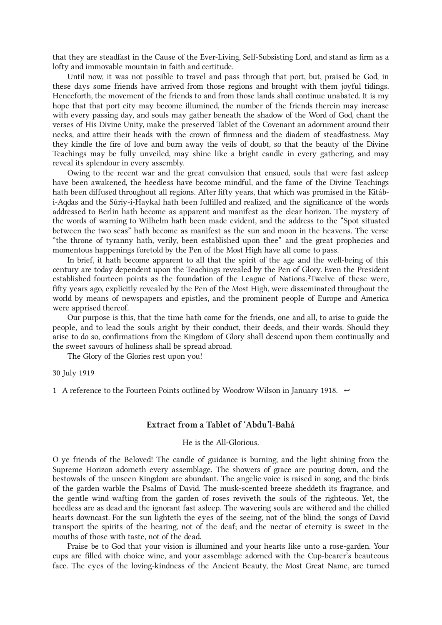that they are steadfast in the Cause of the Ever-Living, Self-Subsisting Lord, and stand as firm as a lofty and immovable mountain in faith and certitude.

Until now, it was not possible to travel and pass through that port, but, praised be God, in these days some friends have arrived from those regions and brought with them joyful tidings. Henceforth, the movement of the friends to and from those lands shall continue unabated. It is my hope that that port city may become illumined, the number of the friends therein may increase with every passing day, and souls may gather beneath the shadow of the Word of God, chant the verses of His Divine Unity, make the preserved Tablet of the Covenant an adornment around their necks, and attire their heads with the crown of firmness and the diadem of steadfastness. May they kindle the fire of love and burn away the veils of doubt, so that the beauty of the Divine Teachings may be fully unveiled, may shine like a bright candle in every gathering, and may reveal its splendour in every assembly.

Owing to the recent war and the great convulsion that ensued, souls that were fast asleep have been awakened, the heedless have become mindful, and the fame of the Divine Teachings hath been diffused throughout all regions. After fifty years, that which was promised in the Kitábi-Aqdas and the Súriy-i-Haykal hath been fulfilled and realized, and the significance of the words addressed to Berlin hath become as apparent and manifest as the clear horizon. The mystery of the words of warning to Wilhelm hath been made evident, and the address to the "Spot situated between the two seas" hath become as manifest as the sun and moon in the heavens. The verse "the throne of tyranny hath, verily, been established upon thee" and the great prophecies and momentous happenings foretold by the Pen of the Most High have all come to pass.

<span id="page-3-1"></span>In brief, it hath become apparent to all that the spirit of the age and the well-being of this century are today dependent upon the Teachings revealed by the Pen of Glory. Even the President established fourteen points as the foundation of the League of Nations.<sup>[1](#page-3-0)</sup>Twelve of these were, fifty years ago, explicitly revealed by the Pen of the Most High, were disseminated throughout the world by means of newspapers and epistles, and the prominent people of Europe and America were apprised thereof.

Our purpose is this, that the time hath come for the friends, one and all, to arise to guide the people, and to lead the souls aright by their conduct, their deeds, and their words. Should they arise to do so, confirmations from the Kingdom of Glory shall descend upon them continually and the sweet savours of holiness shall be spread abroad.

The Glory of the Glories rest upon you!

30 July 1919

<span id="page-3-0"></span>1 A reference to the Fourteen Points outlined by Woodrow Wilson in January 1918.  $\leftrightarrow$ 

### Extract from a Tablet of 'Abdu'l-Bahá

## He is the All-Glorious.

O ye friends of the Beloved! The candle of guidance is burning, and the light shining from the Supreme Horizon adorneth every assemblage. The showers of grace are pouring down, and the bestowals of the unseen Kingdom are abundant. The angelic voice is raised in song, and the birds of the garden warble the Psalms of David. The musk-scented breeze sheddeth its fragrance, and the gentle wind wafting from the garden of roses reviveth the souls of the righteous. Yet, the heedless are as dead and the ignorant fast asleep. The wavering souls are withered and the chilled hearts downcast. For the sun lighteth the eyes of the seeing, not of the blind; the songs of David transport the spirits of the hearing, not of the deaf; and the nectar of eternity is sweet in the mouths of those with taste, not of the dead.

<span id="page-3-2"></span>Praise be to God that your vision is illumined and your hearts like unto a rose-garden. Your cups are filled with choice wine, and your assemblage adorned with the Cup-bearer's beauteous face. The eyes of the loving-kindness of the Ancient Beauty, the Most Great Name, are turned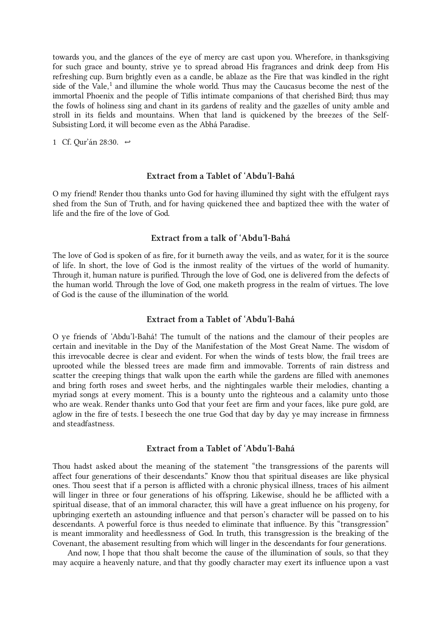towards you, and the glances of the eye of mercy are cast upon you. Wherefore, in thanksgiving for such grace and bounty, strive ye to spread abroad His fragrances and drink deep from His refreshing cup. Burn brightly even as a candle, be ablaze as the Fire that was kindled in the right side of the Vale,<sup>[1](#page-4-0)</sup> and illumine the whole world. Thus may the Caucasus become the nest of the immortal Phoenix and the people of Tiflis intimate companions of that cherished Bird; thus may the fowls of holiness sing and chant in its gardens of reality and the gazelles of unity amble and stroll in its fields and mountains. When that land is quickened by the breezes of the Self-Subsisting Lord, it will become even as the Abhá Paradise.

<span id="page-4-0"></span>1 Cf. Qur'án 28:30.  $\leftrightarrow$ 

## Extract from a Tablet of 'Abdu'l‑Bahá

O my friend! Render thou thanks unto God for having illumined thy sight with the effulgent rays shed from the Sun of Truth, and for having quickened thee and baptized thee with the water of life and the fire of the love of God.

#### Extract from a talk of 'Abdu'l‑Bahá

The love of God is spoken of as fire, for it burneth away the veils, and as water, for it is the source of life. In short, the love of God is the inmost reality of the virtues of the world of humanity. Through it, human nature is purified. Through the love of God, one is delivered from the defects of the human world. Through the love of God, one maketh progress in the realm of virtues. The love of God is the cause of the illumination of the world.

#### Extract from a Tablet of 'Abdu'l‑Bahá

O ye friends of 'Abdu'l‑Bahá! The tumult of the nations and the clamour of their peoples are certain and inevitable in the Day of the Manifestation of the Most Great Name. The wisdom of this irrevocable decree is clear and evident. For when the winds of tests blow, the frail trees are uprooted while the blessed trees are made firm and immovable. Torrents of rain distress and scatter the creeping things that walk upon the earth while the gardens are filled with anemones and bring forth roses and sweet herbs, and the nightingales warble their melodies, chanting a myriad songs at every moment. This is a bounty unto the righteous and a calamity unto those who are weak. Render thanks unto God that your feet are firm and your faces, like pure gold, are aglow in the fire of tests. I beseech the one true God that day by day ye may increase in firmness and steadfastness.

## Extract from a Tablet of 'Abdu'l‑Bahá

Thou hadst asked about the meaning of the statement "the transgressions of the parents will affect four generations of their descendants." Know thou that spiritual diseases are like physical ones. Thou seest that if a person is afflicted with a chronic physical illness, traces of his ailment will linger in three or four generations of his offspring. Likewise, should he be afflicted with a spiritual disease, that of an immoral character, this will have a great influence on his progeny, for upbringing exerteth an astounding influence and that person's character will be passed on to his descendants. A powerful force is thus needed to eliminate that influence. By this "transgression" is meant immorality and heedlessness of God. In truth, this transgression is the breaking of the Covenant, the abasement resulting from which will linger in the descendants for four generations.

And now, I hope that thou shalt become the cause of the illumination of souls, so that they may acquire a heavenly nature, and that thy goodly character may exert its influence upon a vast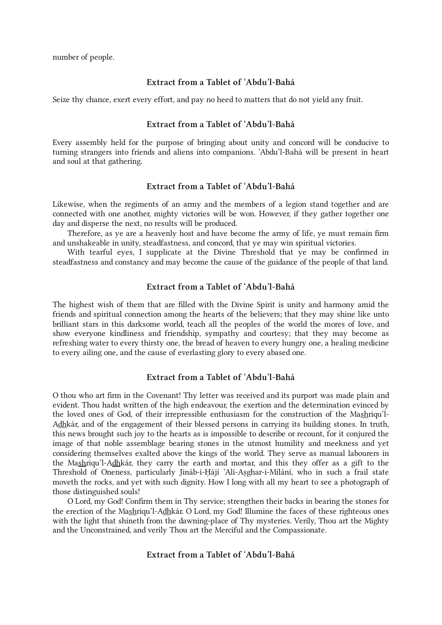number of people.

## Extract from a Tablet of 'Abdu'l‑Bahá

Seize thy chance, exert every effort, and pay no heed to matters that do not yield any fruit.

# Extract from a Tablet of 'Abdu'l‑Bahá

Every assembly held for the purpose of bringing about unity and concord will be conducive to turning strangers into friends and aliens into companions. 'Abdu'l‑Bahá will be present in heart and soul at that gathering.

# Extract from a Tablet of 'Abdu'l‑Bahá

Likewise, when the regiments of an army and the members of a legion stand together and are connected with one another, mighty victories will be won. However, if they gather together one day and disperse the next, no results will be produced.

Therefore, as ye are a heavenly host and have become the army of life, ye must remain firm and unshakeable in unity, steadfastness, and concord, that ye may win spiritual victories.

With tearful eyes, I supplicate at the Divine Threshold that ye may be confirmed in steadfastness and constancy and may become the cause of the guidance of the people of that land.

# Extract from a Tablet of 'Abdu'l‑Bahá

The highest wish of them that are filled with the Divine Spirit is unity and harmony amid the friends and spiritual connection among the hearts of the believers; that they may shine like unto brilliant stars in this darksome world, teach all the peoples of the world the mores of love, and show everyone kindliness and friendship, sympathy and courtesy; that they may become as refreshing water to every thirsty one, the bread of heaven to every hungry one, a healing medicine to every ailing one, and the cause of everlasting glory to every abased one.

# Extract from a Tablet of 'Abdu'l‑Bahá

O thou who art firm in the Covenant! Thy letter was received and its purport was made plain and evident. Thou hadst written of the high endeavour, the exertion and the determination evinced by the loved ones of God, of their irrepressible enthusiasm for the construction of the Mashriqu'l-Adhkár, and of the engagement of their blessed persons in carrying its building stones. In truth, this news brought such joy to the hearts as is impossible to describe or recount, for it conjured the image of that noble assemblage bearing stones in the utmost humility and meekness and yet considering themselves exalted above the kings of the world. They serve as manual labourers in the Mashriqu'l-Adhkár, they carry the earth and mortar, and this they offer as a gift to the Threshold of Oneness, particularly Jináb-i-Ḥájí 'Alí-Aṣghar-i-Mílání, who in such a frail state moveth the rocks, and yet with such dignity. How I long with all my heart to see a photograph of those distinguished souls!

O Lord, my God! Confirm them in Thy service; strengthen their backs in bearing the stones for the erection of the Mashriqu'l-Adhkár. O Lord, my God! Illumine the faces of these righteous ones with the light that shineth from the dawning-place of Thy mysteries. Verily, Thou art the Mighty and the Unconstrained, and verily Thou art the Merciful and the Compassionate.

# Extract from a Tablet of 'Abdu'l‑Bahá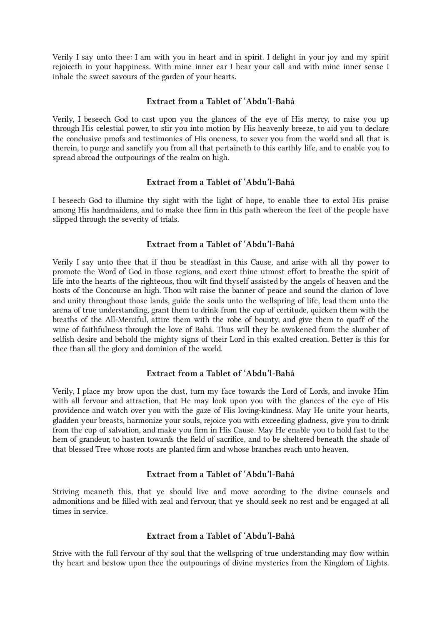Verily I say unto thee: I am with you in heart and in spirit. I delight in your joy and my spirit rejoiceth in your happiness. With mine inner ear I hear your call and with mine inner sense I inhale the sweet savours of the garden of your hearts.

# Extract from a Tablet of 'Abdu'l‑Bahá

Verily, I beseech God to cast upon you the glances of the eye of His mercy, to raise you up through His celestial power, to stir you into motion by His heavenly breeze, to aid you to declare the conclusive proofs and testimonies of His oneness, to sever you from the world and all that is therein, to purge and sanctify you from all that pertaineth to this earthly life, and to enable you to spread abroad the outpourings of the realm on high.

# Extract from a Tablet of 'Abdu'l‑Bahá

I beseech God to illumine thy sight with the light of hope, to enable thee to extol His praise among His handmaidens, and to make thee firm in this path whereon the feet of the people have slipped through the severity of trials.

# Extract from a Tablet of 'Abdu'l-Bahá

Verily I say unto thee that if thou be steadfast in this Cause, and arise with all thy power to promote the Word of God in those regions, and exert thine utmost effort to breathe the spirit of life into the hearts of the righteous, thou wilt find thyself assisted by the angels of heaven and the hosts of the Concourse on high. Thou wilt raise the banner of peace and sound the clarion of love and unity throughout those lands, guide the souls unto the wellspring of life, lead them unto the arena of true understanding, grant them to drink from the cup of certitude, quicken them with the breaths of the All-Merciful, attire them with the robe of bounty, and give them to quaff of the wine of faithfulness through the love of Bahá. Thus will they be awakened from the slumber of selfish desire and behold the mighty signs of their Lord in this exalted creation. Better is this for thee than all the glory and dominion of the world.

# Extract from a Tablet of 'Abdu'l‑Bahá

Verily, I place my brow upon the dust, turn my face towards the Lord of Lords, and invoke Him with all fervour and attraction, that He may look upon you with the glances of the eye of His providence and watch over you with the gaze of His loving-kindness. May He unite your hearts, gladden your breasts, harmonize your souls, rejoice you with exceeding gladness, give you to drink from the cup of salvation, and make you firm in His Cause. May He enable you to hold fast to the hem of grandeur, to hasten towards the field of sacrifice, and to be sheltered beneath the shade of that blessed Tree whose roots are planted firm and whose branches reach unto heaven.

# Extract from a Tablet of 'Abdu'l-Bahá

Striving meaneth this, that ye should live and move according to the divine counsels and admonitions and be filled with zeal and fervour, that ye should seek no rest and be engaged at all times in service.

# Extract from a Tablet of 'Abdu'l‑Bahá

Strive with the full fervour of thy soul that the wellspring of true understanding may flow within thy heart and bestow upon thee the outpourings of divine mysteries from the Kingdom of Lights.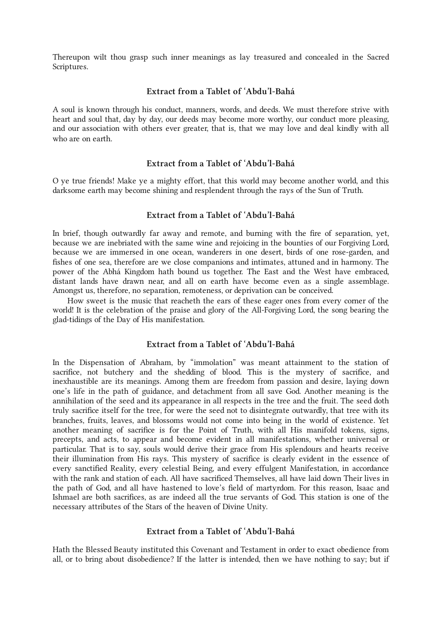Thereupon wilt thou grasp such inner meanings as lay treasured and concealed in the Sacred Scriptures.

## Extract from a Tablet of 'Abdu'l‑Bahá

A soul is known through his conduct, manners, words, and deeds. We must therefore strive with heart and soul that, day by day, our deeds may become more worthy, our conduct more pleasing, and our association with others ever greater, that is, that we may love and deal kindly with all who are on earth.

### Extract from a Tablet of 'Abdu'l‑Bahá

O ye true friends! Make ye a mighty effort, that this world may become another world, and this darksome earth may become shining and resplendent through the rays of the Sun of Truth.

## Extract from a Tablet of 'Abdu'l‑Bahá

In brief, though outwardly far away and remote, and burning with the fire of separation, yet, because we are inebriated with the same wine and rejoicing in the bounties of our Forgiving Lord, because we are immersed in one ocean, wanderers in one desert, birds of one rose-garden, and fishes of one sea, therefore are we close companions and intimates, attuned and in harmony. The power of the Abhá Kingdom hath bound us together. The East and the West have embraced, distant lands have drawn near, and all on earth have become even as a single assemblage. Amongst us, therefore, no separation, remoteness, or deprivation can be conceived.

How sweet is the music that reacheth the ears of these eager ones from every corner of the world! It is the celebration of the praise and glory of the All-Forgiving Lord, the song bearing the glad-tidings of the Day of His manifestation.

## Extract from a Tablet of 'Abdu'l‑Bahá

In the Dispensation of Abraham, by "immolation" was meant attainment to the station of sacrifice, not butchery and the shedding of blood. This is the mystery of sacrifice, and inexhaustible are its meanings. Among them are freedom from passion and desire, laying down one's life in the path of guidance, and detachment from all save God. Another meaning is the annihilation of the seed and its appearance in all respects in the tree and the fruit. The seed doth truly sacrifice itself for the tree, for were the seed not to disintegrate outwardly, that tree with its branches, fruits, leaves, and blossoms would not come into being in the world of existence. Yet another meaning of sacrifice is for the Point of Truth, with all His manifold tokens, signs, precepts, and acts, to appear and become evident in all manifestations, whether universal or particular. That is to say, souls would derive their grace from His splendours and hearts receive their illumination from His rays. This mystery of sacrifice is clearly evident in the essence of every sanctified Reality, every celestial Being, and every effulgent Manifestation, in accordance with the rank and station of each. All have sacrificed Themselves, all have laid down Their lives in the path of God, and all have hastened to love's field of martyrdom. For this reason, Isaac and Ishmael are both sacrifices, as are indeed all the true servants of God. This station is one of the necessary attributes of the Stars of the heaven of Divine Unity.

# Extract from a Tablet of 'Abdu'l‑Bahá

Hath the Blessed Beauty instituted this Covenant and Testament in order to exact obedience from all, or to bring about disobedience? If the latter is intended, then we have nothing to say; but if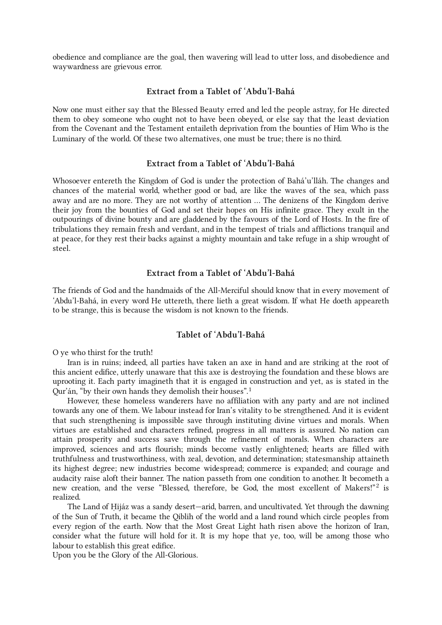obedience and compliance are the goal, then wavering will lead to utter loss, and disobedience and waywardness are grievous error.

#### Extract from a Tablet of 'Abdu'l‑Bahá

Now one must either say that the Blessed Beauty erred and led the people astray, for He directed them to obey someone who ought not to have been obeyed, or else say that the least deviation from the Covenant and the Testament entaileth deprivation from the bounties of Him Who is the Luminary of the world. Of these two alternatives, one must be true; there is no third.

## Extract from a Tablet of 'Abdu'l‑Bahá

Whosoever entereth the Kingdom of God is under the protection of Bahá'u'lláh. The changes and chances of the material world, whether good or bad, are like the waves of the sea, which pass away and are no more. They are not worthy of attention … The denizens of the Kingdom derive their joy from the bounties of God and set their hopes on His infinite grace. They exult in the outpourings of divine bounty and are gladdened by the favours of the Lord of Hosts. In the fire of tribulations they remain fresh and verdant, and in the tempest of trials and afflictions tranquil and at peace, for they rest their backs against a mighty mountain and take refuge in a ship wrought of steel.

# Extract from a Tablet of 'Abdu'l‑Bahá

The friends of God and the handmaids of the All-Merciful should know that in every movement of 'Abdu'l‑Bahá, in every word He uttereth, there lieth a great wisdom. If what He doeth appeareth to be strange, this is because the wisdom is not known to the friends.

# Tablet of 'Abdu'l‑Bahá

O ye who thirst for the truth!

<span id="page-8-0"></span>Iran is in ruins; indeed, all parties have taken an axe in hand and are striking at the root of this ancient edifice, utterly unaware that this axe is destroying the foundation and these blows are uprooting it. Each party imagineth that it is engaged in construction and yet, as is stated in the Qur'án, "by their own hands they demolish their houses". [1](#page-9-0)

<span id="page-8-1"></span>However, these homeless wanderers have no affiliation with any party and are not inclined towards any one of them. We labour instead for Iran's vitality to be strengthened. And it is evident that such strengthening is impossible save through instituting divine virtues and morals. When virtues are established and characters refined, progress in all matters is assured. No nation can attain prosperity and success save through the refinement of morals. When characters are improved, sciences and arts flourish; minds become vastly enlightened; hearts are filled with truthfulness and trustworthiness, with zeal, devotion, and determination; statesmanship attaineth its highest degree; new industries become widespread; commerce is expanded; and courage and audacity raise aloft their banner. The nation passeth from one condition to another. It becometh a new creation, and the verse "Blessed, therefore, be God, the most excellent of Makers!"<sup>[2](#page-9-1)</sup> is realized.

The Land of Ḥijáz was a sandy desert—arid, barren, and uncultivated. Yet through the dawning of the Sun of Truth, it became the Qiblih of the world and a land round which circle peoples from every region of the earth. Now that the Most Great Light hath risen above the horizon of Iran, consider what the future will hold for it. It is my hope that ye, too, will be among those who labour to establish this great edifice.

Upon you be the Glory of the All-Glorious.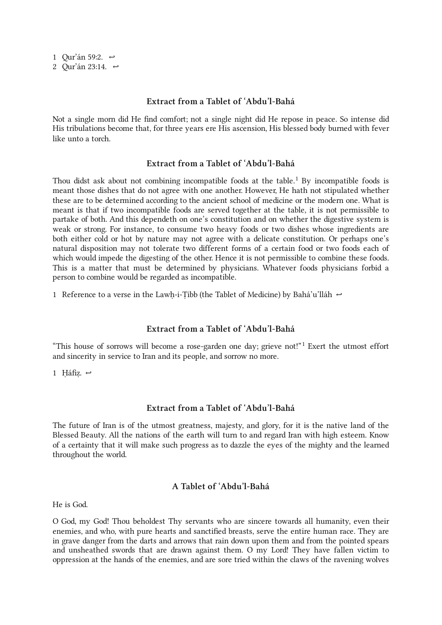<span id="page-9-0"></span>1 Qur'án 59:2.  $\leftrightarrow$ 

<span id="page-9-1"></span>Qur'án 23:14. [↩](#page-8-1) 2

# Extract from a Tablet of 'Abdu'l‑Bahá

Not a single morn did He find comfort; not a single night did He repose in peace. So intense did His tribulations become that, for three years ere His ascension, His blessed body burned with fever like unto a torch.

# Extract from a Tablet of 'Abdu'l‑Bahá

<span id="page-9-3"></span>Thou didst ask about not combining incompatible foods at the table.<sup>[1](#page-9-2)</sup> By incompatible foods is meant those dishes that do not agree with one another. However, He hath not stipulated whether these are to be determined according to the ancient school of medicine or the modern one. What is meant is that if two incompatible foods are served together at the table, it is not permissible to partake of both. And this dependeth on one's constitution and on whether the digestive system is weak or strong. For instance, to consume two heavy foods or two dishes whose ingredients are both either cold or hot by nature may not agree with a delicate constitution. Or perhaps one's natural disposition may not tolerate two different forms of a certain food or two foods each of which would impede the digesting of the other. Hence it is not permissible to combine these foods. This is a matter that must be determined by physicians. Whatever foods physicians forbid a person to combine would be regarded as incompatible.

<span id="page-9-2"></span>1 Reference to a verse in the Lawḥ-i-Ṭibb (the Tablet of Medicine) by Bahá'u'lláh  $\leftrightarrow$ 

# Extract from a Tablet of 'Abdu'l‑Bahá

<span id="page-9-5"></span>"This house of sorrows will become a rose-garden one day; grieve not!"<sup>[1](#page-9-4)</sup> Exert the utmost effort and sincerity in service to Iran and its people, and sorrow no more.

<span id="page-9-4"></span>1 Háfiz.  $\leftrightarrow$ 

# Extract from a Tablet of 'Abdu'l‑Bahá

The future of Iran is of the utmost greatness, majesty, and glory, for it is the native land of the Blessed Beauty. All the nations of the earth will turn to and regard Iran with high esteem. Know of a certainty that it will make such progress as to dazzle the eyes of the mighty and the learned throughout the world.

# A Tablet of 'Abdu'l‑Bahá

He is God.

O God, my God! Thou beholdest Thy servants who are sincere towards all humanity, even their enemies, and who, with pure hearts and sanctified breasts, serve the entire human race. They are in grave danger from the darts and arrows that rain down upon them and from the pointed spears and unsheathed swords that are drawn against them. O my Lord! They have fallen victim to oppression at the hands of the enemies, and are sore tried within the claws of the ravening wolves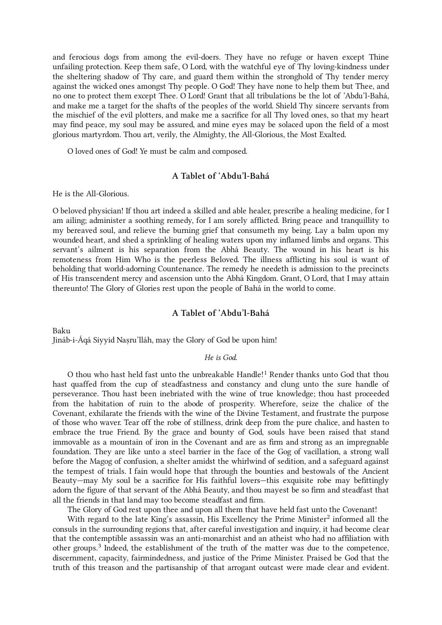and ferocious dogs from among the evil-doers. They have no refuge or haven except Thine unfailing protection. Keep them safe, O Lord, with the watchful eye of Thy loving-kindness under the sheltering shadow of Thy care, and guard them within the stronghold of Thy tender mercy against the wicked ones amongst Thy people. O God! They have none to help them but Thee, and no one to protect them except Thee. O Lord! Grant that all tribulations be the lot of 'Abdu'l-Bahá, and make me a target for the shafts of the peoples of the world. Shield Thy sincere servants from the mischief of the evil plotters, and make me a sacrifice for all Thy loved ones, so that my heart may find peace, my soul may be assured, and mine eyes may be solaced upon the field of a most glorious martyrdom. Thou art, verily, the Almighty, the All-Glorious, the Most Exalted.

O loved ones of God! Ye must be calm and composed.

# A Tablet of 'Abdu'l‑Bahá

He is the All-Glorious.

O beloved physician! If thou art indeed a skilled and able healer, prescribe a healing medicine, for I am ailing; administer a soothing remedy, for I am sorely afflicted. Bring peace and tranquillity to my bereaved soul, and relieve the burning grief that consumeth my being. Lay a balm upon my wounded heart, and shed a sprinkling of healing waters upon my inflamed limbs and organs. This servant's ailment is his separation from the Abhá Beauty. The wound in his heart is his remoteness from Him Who is the peerless Beloved. The illness afflicting his soul is want of beholding that world-adorning Countenance. The remedy he needeth is admission to the precincts of His transcendent mercy and ascension unto the Abhá Kingdom. Grant, O Lord, that I may attain thereunto! The Glory of Glories rest upon the people of Bahá in the world to come.

# A Tablet of 'Abdu'l‑Bahá

Baku Jináb-i-Áqá Siyyid Naṣru'lláh, may the Glory of God be upon him!

#### He is God.

<span id="page-10-0"></span>O thou who hast held fast unto the unbreakable Handle! [1](#page-12-0) Render thanks unto God that thou hast quaffed from the cup of steadfastness and constancy and clung unto the sure handle of perseverance. Thou hast been inebriated with the wine of true knowledge; thou hast proceeded from the habitation of ruin to the abode of prosperity. Wherefore, seize the chalice of the Covenant, exhilarate the friends with the wine of the Divine Testament, and frustrate the purpose of those who waver. Tear off the robe of stillness, drink deep from the pure chalice, and hasten to embrace the true Friend. By the grace and bounty of God, souls have been raised that stand immovable as a mountain of iron in the Covenant and are as firm and strong as an impregnable foundation. They are like unto a steel barrier in the face of the Gog of vacillation, a strong wall before the Magog of confusion, a shelter amidst the whirlwind of sedition, and a safeguard against the tempest of trials. I fain would hope that through the bounties and bestowals of the Ancient Beauty—may My soul be a sacrifice for His faithful lovers—this exquisite robe may befittingly adorn the figure of that servant of the Abhá Beauty, and thou mayest be so firm and steadfast that all the friends in that land may too become steadfast and firm.

<span id="page-10-1"></span>The Glory of God rest upon thee and upon all them that have held fast unto the Covenant!

With regard to the late King's assassin, His Excellency the Prime Minister<sup>[2](#page-12-1)</sup> informed all the consuls in the surrounding regions that, after careful investigation and inquiry, it had become clear that the contemptible assassin was an anti-monarchist and an atheist who had no affiliation with other groups.<sup>[3](#page-12-2)</sup> Indeed, the establishment of the truth of the matter was due to the competence, discernment, capacity, fairmindedness, and justice of the Prime Minister. Praised be God that the truth of this treason and the partisanship of that arrogant outcast were made clear and evident.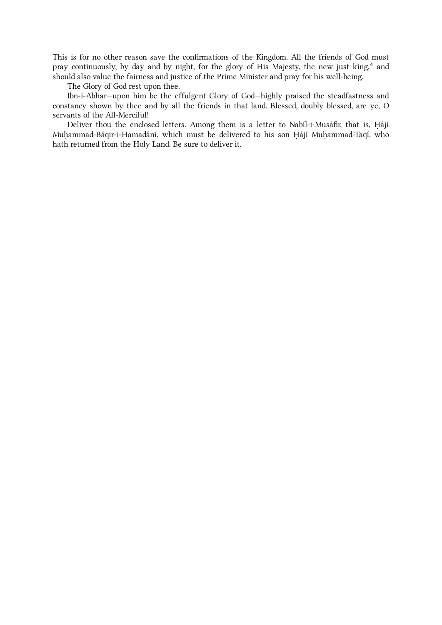This is for no other reason save the confirmations of the Kingdom. All the friends of God must pray continuously, by day and by night, for the glory of His Majesty, the new just king, [4](#page-12-3) and should also value the fairness and justice of the Prime Minister and pray for his well-being.

The Glory of God rest upon thee.

Ibn-i-Abhar—upon him be the effulgent Glory of God—highly praised the steadfastness and constancy shown by thee and by all the friends in that land. Blessed, doubly blessed, are ye, O servants of the All-Merciful!

Deliver thou the enclosed letters. Among them is a letter to Nabíl-i-Musáfir, that is, Ḥájí Muhammad-Báqir-i-Hamadání, which must be delivered to his son Hájí Muhammad-Taqí, who hath returned from the Holy Land. Be sure to deliver it.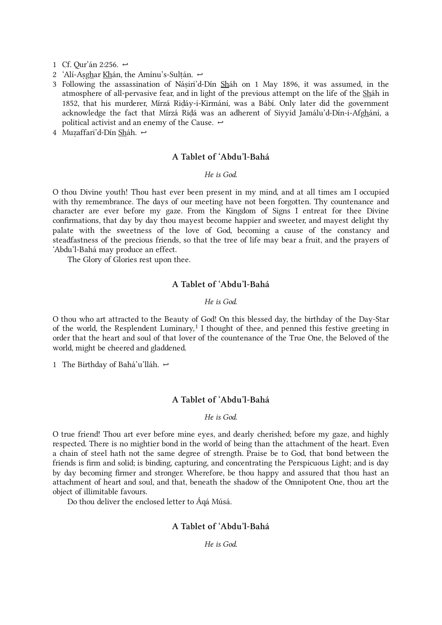<span id="page-12-0"></span>1 Cf. Qur'án 2:256.  $\leftrightarrow$ 

- <span id="page-12-1"></span>2 'Alí-Aṣg<u>h</u>ar <u>Kh</u>án, the Amínu's-Sulṭán. [↩](#page-10-1)
- <span id="page-12-2"></span>3 Following the assassination of Náṣiri'd-Dín <u>Sh</u>áh on 1 May 1896, it was assumed, in the atmosphere of all-pervasive fear, and in light of the previous attempt on the life of the Sháh in 1852, that his murderer, Mírzá Riḍáy-i-Kirmání, was a Bábí. Only later did the government acknowledge the fact that Mírzá Riḍá was an adherent of Siyyid Jamálu'd-Dín-i-Afghání, a political activist and an enemy of the Cause.  $\leftrightarrow$
- <span id="page-12-3"></span>Muẓaffari'd-Dín Sháh. [↩](#page-10-1) 4

#### A Tablet of 'Abdu'l‑Bahá

## He is God.

O thou Divine youth! Thou hast ever been present in my mind, and at all times am I occupied with thy remembrance. The days of our meeting have not been forgotten. Thy countenance and character are ever before my gaze. From the Kingdom of Signs I entreat for thee Divine confirmations, that day by day thou mayest become happier and sweeter, and mayest delight thy palate with the sweetness of the love of God, becoming a cause of the constancy and steadfastness of the precious friends, so that the tree of life may bear a fruit, and the prayers of 'Abdu'l‑Bahá may produce an effect.

The Glory of Glories rest upon thee.

# A Tablet of 'Abdu'l‑Bahá

#### He is God.

<span id="page-12-5"></span>O thou who art attracted to the Beauty of God! On this blessed day, the birthday of the Day-Star of the world, the Resplendent Luminary,<sup>[1](#page-12-4)</sup> I thought of thee, and penned this festive greeting in order that the heart and soul of that lover of the countenance of the True One, the Beloved of the world, might be cheered and gladdened.

<span id="page-12-4"></span>1 The Birthday of Bahá'u'lláh. ↔

# A Tablet of 'Abdu'l‑Bahá

#### He is God.

O true friend! Thou art ever before mine eyes, and dearly cherished; before my gaze, and highly respected. There is no mightier bond in the world of being than the attachment of the heart. Even a chain of steel hath not the same degree of strength. Praise be to God, that bond between the friends is firm and solid; is binding, capturing, and concentrating the Perspicuous Light; and is day by day becoming firmer and stronger. Wherefore, be thou happy and assured that thou hast an attachment of heart and soul, and that, beneath the shadow of the Omnipotent One, thou art the object of illimitable favours.

Do thou deliver the enclosed letter to Áqá Músá.

# A Tablet of 'Abdu'l‑Bahá

He is God.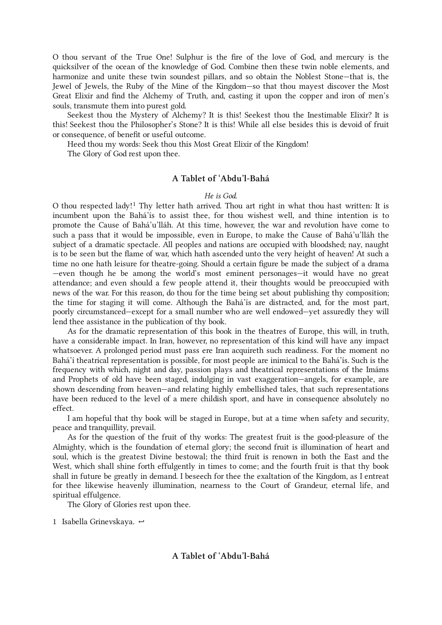O thou servant of the True One! Sulphur is the fire of the love of God, and mercury is the quicksilver of the ocean of the knowledge of God. Combine then these twin noble elements, and harmonize and unite these twin soundest pillars, and so obtain the Noblest Stone—that is, the Jewel of Jewels, the Ruby of the Mine of the Kingdom—so that thou mayest discover the Most Great Elixir and find the Alchemy of Truth, and, casting it upon the copper and iron of men's souls, transmute them into purest gold.

Seekest thou the Mystery of Alchemy? It is this! Seekest thou the Inestimable Elixir? It is this! Seekest thou the Philosopher's Stone? It is this! While all else besides this is devoid of fruit or consequence, of benefit or useful outcome.

Heed thou my words: Seek thou this Most Great Elixir of the Kingdom!

The Glory of God rest upon thee.

# A Tablet of 'Abdu'l‑Bahá

#### He is God.

<span id="page-13-1"></span>O thou respected lady!<sup>[1](#page-13-0)</sup> Thy letter hath arrived. Thou art right in what thou hast written: It is incumbent upon the Bahá'ís to assist thee, for thou wishest well, and thine intention is to promote the Cause of Bahá'u'lláh. At this time, however, the war and revolution have come to such a pass that it would be impossible, even in Europe, to make the Cause of Bahá'u'lláh the subject of a dramatic spectacle. All peoples and nations are occupied with bloodshed; nay, naught is to be seen but the flame of war, which hath ascended unto the very height of heaven! At such a time no one hath leisure for theatre-going. Should a certain figure be made the subject of a drama —even though he be among the world's most eminent personages—it would have no great attendance; and even should a few people attend it, their thoughts would be preoccupied with news of the war. For this reason, do thou for the time being set about publishing thy composition; the time for staging it will come. Although the Bahá'ís are distracted, and, for the most part, poorly circumstanced—except for a small number who are well endowed—yet assuredly they will lend thee assistance in the publication of thy book.

As for the dramatic representation of this book in the theatres of Europe, this will, in truth, have a considerable impact. In Iran, however, no representation of this kind will have any impact whatsoever. A prolonged period must pass ere Iran acquireth such readiness. For the moment no Bahá'í theatrical representation is possible, for most people are inimical to the Bahá'ís. Such is the frequency with which, night and day, passion plays and theatrical representations of the Imáms and Prophets of old have been staged, indulging in vast exaggeration—angels, for example, are shown descending from heaven—and relating highly embellished tales, that such representations have been reduced to the level of a mere childish sport, and have in consequence absolutely no effect.

I am hopeful that thy book will be staged in Europe, but at a time when safety and security, peace and tranquillity, prevail.

As for the question of the fruit of thy works: The greatest fruit is the good-pleasure of the Almighty, which is the foundation of eternal glory; the second fruit is illumination of heart and soul, which is the greatest Divine bestowal; the third fruit is renown in both the East and the West, which shall shine forth effulgently in times to come; and the fourth fruit is that thy book shall in future be greatly in demand. I beseech for thee the exaltation of the Kingdom, as I entreat for thee likewise heavenly illumination, nearness to the Court of Grandeur, eternal life, and spiritual effulgence.

The Glory of Glories rest upon thee.

<span id="page-13-0"></span>1 Isabella Grinevskaya.  $\leftrightarrow$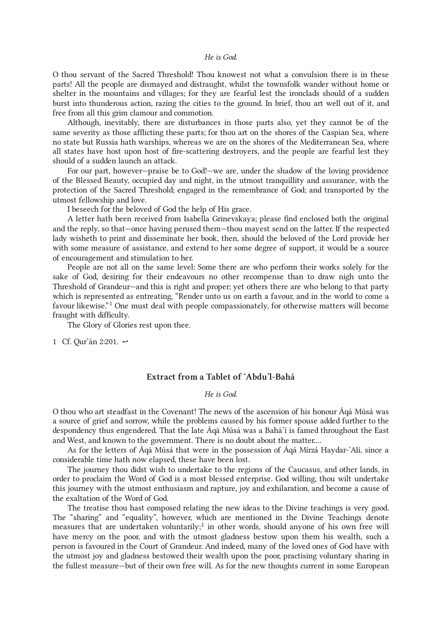#### He is God.

O thou servant of the Sacred Threshold! Thou knowest not what a convulsion there is in these parts! All the people are dismayed and distraught, whilst the townsfolk wander without home or shelter in the mountains and villages; for they are fearful lest the ironclads should of a sudden burst into thunderous action, razing the cities to the ground. In brief, thou art well out of it, and free from all this grim clamour and commotion.

Although, inevitably, there are disturbances in those parts also, yet they cannot be of the same severity as those afflicting these parts; for thou art on the shores of the Caspian Sea, where no state but Russia hath warships, whereas we are on the shores of the Mediterranean Sea, where all states have host upon host of fire-scattering destroyers, and the people are fearful lest they should of a sudden launch an attack.

For our part, however—praise be to God!—we are, under the shadow of the loving providence of the Blessed Beauty, occupied day and night, in the utmost tranquillity and assurance, with the protection of the Sacred Threshold; engaged in the remembrance of God; and transported by the utmost fellowship and love.

I beseech for the beloved of God the help of His grace.

A letter hath been received from Isabella Grinevskaya; please find enclosed both the original and the reply, so that—once having perused them—thou mayest send on the latter. If the respected lady wisheth to print and disseminate her book, then, should the beloved of the Lord provide her with some measure of assistance, and extend to her some degree of support, it would be a source of encouragement and stimulation to her.

<span id="page-14-1"></span>People are not all on the same level: Some there are who perform their works solely for the sake of God, desiring for their endeavours no other recompense than to draw nigh unto the Threshold of Grandeur—and this is right and proper; yet others there are who belong to that party which is represented as entreating, "Render unto us on earth a favour, and in the world to come a favour likewise."<sup>[1](#page-14-0)</sup> One must deal with people compassionately, for otherwise matters will become fraught with difficulty.

The Glory of Glories rest upon thee.

<span id="page-14-0"></span>1 Cf. Qur'án 2:201. ↔

## Extract from a Tablet of 'Abdu'l‑Bahá

### He is God.

O thou who art steadfast in the Covenant! The news of the ascension of his honour Áqá Músá was a source of grief and sorrow, while the problems caused by his former spouse added further to the despondency thus engendered. That the late Áqá Músá was a Bahá'í is famed throughout the East and West, and known to the government. There is no doubt about the matter.…

As for the letters of Áqá Músá that were in the possession of Áqá Mírzá Haydar-'Alí, since a considerable time hath now elapsed, these have been lost.

The journey thou didst wish to undertake to the regions of the Caucasus, and other lands, in order to proclaim the Word of God is a most blessed enterprise. God willing, thou wilt undertake this journey with the utmost enthusiasm and rapture, joy and exhilaration, and become a cause of the exaltation of the Word of God.

<span id="page-14-2"></span>The treatise thou hast composed relating the new ideas to the Divine teachings is very good. The "sharing" and "equality", however, which are mentioned in the Divine Teachings denote measures that are undertaken voluntarily;<sup>[1](#page-15-0)</sup> in other words, should anyone of his own free will have mercy on the poor, and with the utmost gladness bestow upon them his wealth, such a person is favoured in the Court of Grandeur. And indeed, many of the loved ones of God have with the utmost joy and gladness bestowed their wealth upon the poor, practising voluntary sharing in the fullest measure—but of their own free will. As for the new thoughts current in some European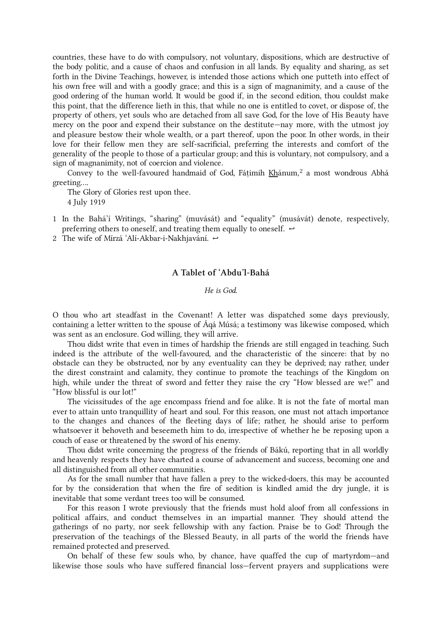countries, these have to do with compulsory, not voluntary, dispositions, which are destructive of the body politic, and a cause of chaos and confusion in all lands. By equality and sharing, as set forth in the Divine Teachings, however, is intended those actions which one putteth into effect of his own free will and with a goodly grace; and this is a sign of magnanimity, and a cause of the good ordering of the human world. It would be good if, in the second edition, thou couldst make this point, that the difference lieth in this, that while no one is entitled to covet, or dispose of, the property of others, yet souls who are detached from all save God, for the love of His Beauty have mercy on the poor and expend their substance on the destitute—nay more, with the utmost joy and pleasure bestow their whole wealth, or a part thereof, upon the poor. In other words, in their love for their fellow men they are self-sacrificial, preferring the interests and comfort of the generality of the people to those of a particular group; and this is voluntary, not compulsory, and a sign of magnanimity, not of coercion and violence.

<span id="page-15-2"></span>Convey to the well-favoured handmaid of God, Fáṭimih Khánum,<sup>[2](#page-15-1)</sup> a most wondrous Abhá greeting….

The Glory of Glories rest upon thee. 4 July 1919

<span id="page-15-0"></span>In the Bahá'í Writings, "sharing" (muvását) and "equality" (musávát) denote, respectively, 1 preferring others to oneself, and treating them equally to oneself.  $\leftrightarrow$ 

<span id="page-15-1"></span>The wife of Mírzá 'Alí-Akbar-i-Nakhjavání. [↩](#page-15-2) 2

# A Tablet of 'Abdu'l‑Bahá

### He is God.

O thou who art steadfast in the Covenant! A letter was dispatched some days previously, containing a letter written to the spouse of Áqá Músá; a testimony was likewise composed, which was sent as an enclosure. God willing, they will arrive.

Thou didst write that even in times of hardship the friends are still engaged in teaching. Such indeed is the attribute of the well-favoured, and the characteristic of the sincere: that by no obstacle can they be obstructed, nor by any eventuality can they be deprived; nay rather, under the direst constraint and calamity, they continue to promote the teachings of the Kingdom on high, while under the threat of sword and fetter they raise the cry "How blessed are we!" and "How blissful is our lot!"

The vicissitudes of the age encompass friend and foe alike. It is not the fate of mortal man ever to attain unto tranquillity of heart and soul. For this reason, one must not attach importance to the changes and chances of the fleeting days of life; rather, he should arise to perform whatsoever it behoveth and beseemeth him to do, irrespective of whether he be reposing upon a couch of ease or threatened by the sword of his enemy.

Thou didst write concerning the progress of the friends of Bákú, reporting that in all worldly and heavenly respects they have charted a course of advancement and success, becoming one and all distinguished from all other communities.

As for the small number that have fallen a prey to the wicked-doers, this may be accounted for by the consideration that when the fire of sedition is kindled amid the dry jungle, it is inevitable that some verdant trees too will be consumed.

For this reason I wrote previously that the friends must hold aloof from all confessions in political affairs, and conduct themselves in an impartial manner. They should attend the gatherings of no party, nor seek fellowship with any faction. Praise be to God! Through the preservation of the teachings of the Blessed Beauty, in all parts of the world the friends have remained protected and preserved.

On behalf of these few souls who, by chance, have quaffed the cup of martyrdom—and likewise those souls who have suffered financial loss—fervent prayers and supplications were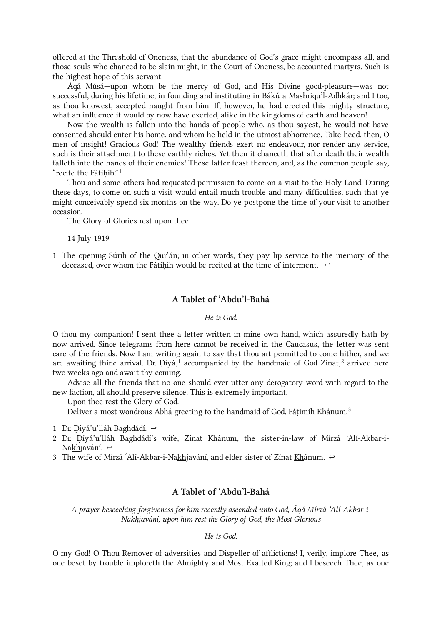offered at the Threshold of Oneness, that the abundance of God's grace might encompass all, and those souls who chanced to be slain might, in the Court of Oneness, be accounted martyrs. Such is the highest hope of this servant.

Áqá Músá—upon whom be the mercy of God, and His Divine good-pleasure—was not successful, during his lifetime, in founding and instituting in Bákú a Mashriqu'l-Adhkár; and I too, as thou knowest, accepted naught from him. If, however, he had erected this mighty structure, what an influence it would by now have exerted, alike in the kingdoms of earth and heaven!

<span id="page-16-1"></span>Now the wealth is fallen into the hands of people who, as thou sayest, he would not have consented should enter his home, and whom he held in the utmost abhorrence. Take heed, then, O men of insight! Gracious God! The wealthy friends exert no endeavour, nor render any service, such is their attachment to these earthly riches. Yet then it chanceth that after death their wealth falleth into the hands of their enemies! These latter feast thereon, and, as the common people say, "recite the Fátihih."<sup>[1](#page-16-0)</sup>

Thou and some others had requested permission to come on a visit to the Holy Land. During these days, to come on such a visit would entail much trouble and many difficulties, such that ye might conceivably spend six months on the way. Do ye postpone the time of your visit to another occasion.

The Glory of Glories rest upon thee.

14 July 1919

<span id="page-16-0"></span>1 The opening Súrih of the Qur'án; in other words, they pay lip service to the memory of the deceased, over whom the Fátihih would be recited at the time of interment.  $\leftrightarrow$ 

# A Tablet of 'Abdu'l‑Bahá

### He is God.

<span id="page-16-5"></span>O thou my companion! I sent thee a letter written in mine own hand, which assuredly hath by now arrived. Since telegrams from here cannot be received in the Caucasus, the letter was sent care of the friends. Now I am writing again to say that thou art permitted to come hither, and we are awaiting thine arrival. Dr. Díyá,<sup>[1](#page-16-2)</sup> accompanied by the handmaid of God Zínat,<sup>[2](#page-16-3)</sup> arrived here two weeks ago and await thy coming.

Advise all the friends that no one should ever utter any derogatory word with regard to the new faction, all should preserve silence. This is extremely important.

Upon thee rest the Glory of God.

<span id="page-16-6"></span>Deliver a most wondrous Abhá greeting to the handmaid of God, Fáṭimih <u>Kh</u>ánum.<sup>[3](#page-16-4)</sup>

- <span id="page-16-2"></span>1 Dr. Díyá'u'lláh Bag<u>h</u>dádí. ↔
- <span id="page-16-3"></span>2 Dr. Díyá'u'lláh Ba<u>gh</u>dádí's wife, Zínat <u>Kh</u>ánum, the sister-in-law of Mírzá 'Alí-Akbar-i-Nakhiavání. ←
- <span id="page-16-4"></span>3 The wife of Mírzá 'Alí-Akbar-i-Na<u>kh</u>javání, and elder sister of Zínat <u>Kh</u>ánum. ↔

# A Tablet of 'Abdu'l‑Bahá

A prayer beseeching forgiveness for him recently ascended unto God, Áqá Mírzá 'Alí-Akbar-i-Nakhjavání, upon him rest the Glory of God, the Most Glorious

He is God.

O my God! O Thou Remover of adversities and Dispeller of afflictions! I, verily, implore Thee, as one beset by trouble imploreth the Almighty and Most Exalted King; and I beseech Thee, as one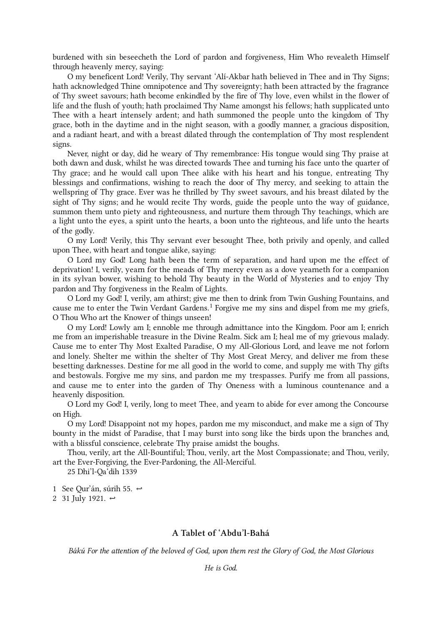burdened with sin beseecheth the Lord of pardon and forgiveness, Him Who revealeth Himself through heavenly mercy, saying:

O my beneficent Lord! Verily, Thy servant 'Alí-Akbar hath believed in Thee and in Thy Signs; hath acknowledged Thine omnipotence and Thy sovereignty; hath been attracted by the fragrance of Thy sweet savours; hath become enkindled by the fire of Thy love, even whilst in the flower of life and the flush of youth; hath proclaimed Thy Name amongst his fellows; hath supplicated unto Thee with a heart intensely ardent; and hath summoned the people unto the kingdom of Thy grace, both in the daytime and in the night season, with a goodly manner, a gracious disposition, and a radiant heart, and with a breast dilated through the contemplation of Thy most resplendent signs.

Never, night or day, did he weary of Thy remembrance: His tongue would sing Thy praise at both dawn and dusk, whilst he was directed towards Thee and turning his face unto the quarter of Thy grace; and he would call upon Thee alike with his heart and his tongue, entreating Thy blessings and confirmations, wishing to reach the door of Thy mercy, and seeking to attain the wellspring of Thy grace. Ever was he thrilled by Thy sweet savours, and his breast dilated by the sight of Thy signs; and he would recite Thy words, guide the people unto the way of guidance, summon them unto piety and righteousness, and nurture them through Thy teachings, which are a light unto the eyes, a spirit unto the hearts, a boon unto the righteous, and life unto the hearts of the godly.

O my Lord! Verily, this Thy servant ever besought Thee, both privily and openly, and called upon Thee, with heart and tongue alike, saying:

O Lord my God! Long hath been the term of separation, and hard upon me the effect of deprivation! I, verily, yearn for the meads of Thy mercy even as a dove yearneth for a companion in its sylvan bower, wishing to behold Thy beauty in the World of Mysteries and to enjoy Thy pardon and Thy forgiveness in the Realm of Lights.

<span id="page-17-1"></span>O Lord my God! I, verily, am athirst; give me then to drink from Twin Gushing Fountains, and cause me to enter the Twin Verdant Gardens.<sup>[1](#page-17-0)</sup> Forgive me my sins and dispel from me my griefs, O Thou Who art the Knower of things unseen!

O my Lord! Lowly am I; ennoble me through admittance into the Kingdom. Poor am I; enrich me from an imperishable treasure in the Divine Realm. Sick am I; heal me of my grievous malady. Cause me to enter Thy Most Exalted Paradise, O my All-Glorious Lord, and leave me not forlorn and lonely. Shelter me within the shelter of Thy Most Great Mercy, and deliver me from these besetting darknesses. Destine for me all good in the world to come, and supply me with Thy gifts and bestowals. Forgive me my sins, and pardon me my trespasses. Purify me from all passions, and cause me to enter into the garden of Thy Oneness with a luminous countenance and a heavenly disposition.

O Lord my God! I, verily, long to meet Thee, and yearn to abide for ever among the Concourse on High.

O my Lord! Disappoint not my hopes, pardon me my misconduct, and make me a sign of Thy bounty in the midst of Paradise, that I may burst into song like the birds upon the branches and, with a blissful conscience, celebrate Thy praise amidst the boughs.

Thou, verily, art the All-Bountiful; Thou, verily, art the Most Compassionate; and Thou, verily, art the Ever-Forgiving, the Ever-Pardoning, the All-Merciful.

25 Dhi'l-Qa'dih 1339

<span id="page-17-0"></span>1 See Qur'án, súrih 55. ↔

2 31 July 1921.  $\leftrightarrow$ 

# A Tablet of 'Abdu'l‑Bahá

Bákú For the attention of the beloved of God, upon them rest the Glory of God, the Most Glorious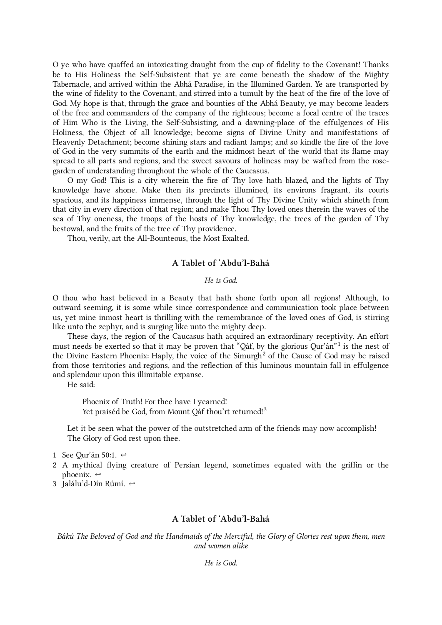O ye who have quaffed an intoxicating draught from the cup of fidelity to the Covenant! Thanks be to His Holiness the Self-Subsistent that ye are come beneath the shadow of the Mighty Tabernacle, and arrived within the Abhá Paradise, in the Illumined Garden. Ye are transported by the wine of fidelity to the Covenant, and stirred into a tumult by the heat of the fire of the love of God. My hope is that, through the grace and bounties of the Abhá Beauty, ye may become leaders of the free and commanders of the company of the righteous; become a focal centre of the traces of Him Who is the Living, the Self-Subsisting, and a dawning-place of the effulgences of His Holiness, the Object of all knowledge; become signs of Divine Unity and manifestations of Heavenly Detachment; become shining stars and radiant lamps; and so kindle the fire of the love of God in the very summits of the earth and the midmost heart of the world that its flame may spread to all parts and regions, and the sweet savours of holiness may be wafted from the rosegarden of understanding throughout the whole of the Caucasus.

O my God! This is a city wherein the fire of Thy love hath blazed, and the lights of Thy knowledge have shone. Make then its precincts illumined, its environs fragrant, its courts spacious, and its happiness immense, through the light of Thy Divine Unity which shineth from that city in every direction of that region; and make Thou Thy loved ones therein the waves of the sea of Thy oneness, the troops of the hosts of Thy knowledge, the trees of the garden of Thy bestowal, and the fruits of the tree of Thy providence.

Thou, verily, art the All-Bounteous, the Most Exalted.

### A Tablet of 'Abdu'l‑Bahá

#### He is God.

O thou who hast believed in a Beauty that hath shone forth upon all regions! Although, to outward seeming, it is some while since correspondence and communication took place between us, yet mine inmost heart is thrilling with the remembrance of the loved ones of God, is stirring like unto the zephyr, and is surging like unto the mighty deep.

<span id="page-18-3"></span>These days, the region of the Caucasus hath acquired an extraordinary receptivity. An effort must needs be exerted so that it may be proven that "Qáf, by the glorious Qur'án"<sup>[1](#page-18-0)</sup> is the nest of the Divine Eastern Phoenix: Haply, the voice of the Símurgh [2](#page-18-1) of the Cause of God may be raised from those territories and regions, and the reflection of this luminous mountain fall in effulgence and splendour upon this illimitable expanse.

He said:

<span id="page-18-4"></span>Phoenix of Truth! For thee have I yearned! Yet praiséd be God, from Mount Qáf thou'rt returned!<sup>[3](#page-18-2)</sup>

Let it be seen what the power of the outstretched arm of the friends may now accomplish! The Glory of God rest upon thee.

<span id="page-18-0"></span>1 See Qur'án 50:1. ↔

- <span id="page-18-1"></span>A mythical flying creature of Persian legend, sometimes equated with the griffin or the 2 phoenix.  $\leftrightarrow$
- <span id="page-18-2"></span>3 – Jalálu'd-Dín Rúmí. ↔

# A Tablet of 'Abdu'l‑Bahá

Bákú The Beloved of God and the Handmaids of the Merciful, the Glory of Glories rest upon them, men and women alike

He is God.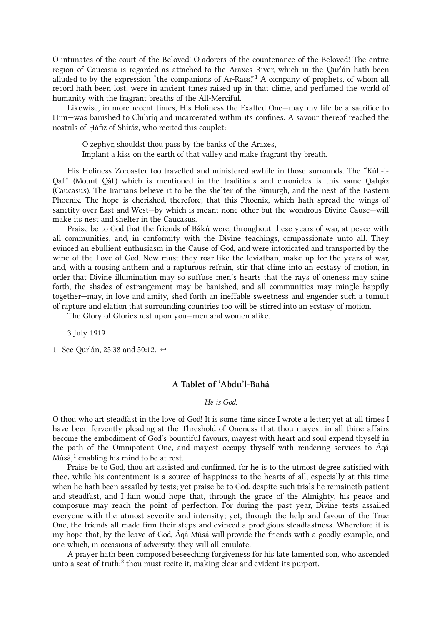<span id="page-19-1"></span>O intimates of the court of the Beloved! O adorers of the countenance of the Beloved! The entire region of Caucasia is regarded as attached to the Araxes River, which in the Qur'án hath been alluded to by the expression "the companions of Ar-Rass." [1](#page-19-0) A company of prophets, of whom all record hath been lost, were in ancient times raised up in that clime, and perfumed the world of humanity with the fragrant breaths of the All-Merciful.

Likewise, in more recent times, His Holiness the Exalted One—may my life be a sacrifice to Him-was banished to Chihríq and incarcerated within its confines. A savour thereof reached the nostrils of Ḥáfiẓ of Shíráz, who recited this couplet:

O zephyr, shouldst thou pass by the banks of the Araxes, Implant a kiss on the earth of that valley and make fragrant thy breath.

His Holiness Zoroaster too travelled and ministered awhile in those surrounds. The "Kúh-i-Qáf" (Mount Qáf) which is mentioned in the traditions and chronicles is this same Qafqáz (Caucasus). The Iranians believe it to be the shelter of the Símurgh, and the nest of the Eastern Phoenix. The hope is cherished, therefore, that this Phoenix, which hath spread the wings of sanctity over East and West—by which is meant none other but the wondrous Divine Cause—will make its nest and shelter in the Caucasus.

Praise be to God that the friends of Bákú were, throughout these years of war, at peace with all communities, and, in conformity with the Divine teachings, compassionate unto all. They evinced an ebullient enthusiasm in the Cause of God, and were intoxicated and transported by the wine of the Love of God. Now must they roar like the leviathan, make up for the years of war, and, with a rousing anthem and a rapturous refrain, stir that clime into an ecstasy of motion, in order that Divine illumination may so suffuse men's hearts that the rays of oneness may shine forth, the shades of estrangement may be banished, and all communities may mingle happily together—may, in love and amity, shed forth an ineffable sweetness and engender such a tumult of rapture and elation that surrounding countries too will be stirred into an ecstasy of motion.

The Glory of Glories rest upon you—men and women alike.

3 July 1919

<span id="page-19-0"></span>1 See Qur'án, 25:38 and 50:12.  $\leftrightarrow$ 

#### A Tablet of 'Abdu'l‑Bahá

#### He is God.

<span id="page-19-2"></span>O thou who art steadfast in the love of God! It is some time since I wrote a letter; yet at all times I have been fervently pleading at the Threshold of Oneness that thou mayest in all thine affairs become the embodiment of God's bountiful favours, mayest with heart and soul expend thyself in the path of the Omnipotent One, and mayest occupy thyself with rendering services to Áqá Músá, [1](#page-20-0) enabling his mind to be at rest.

Praise be to God, thou art assisted and confirmed, for he is to the utmost degree satisfied with thee, while his contentment is a source of happiness to the hearts of all, especially at this time when he hath been assailed by tests; yet praise be to God, despite such trials he remaineth patient and steadfast, and I fain would hope that, through the grace of the Almighty, his peace and composure may reach the point of perfection. For during the past year, Divine tests assailed everyone with the utmost severity and intensity; yet, through the help and favour of the True One, the friends all made firm their steps and evinced a prodigious steadfastness. Wherefore it is my hope that, by the leave of God, Áqá Músá will provide the friends with a goodly example, and one which, in occasions of adversity, they will all emulate.

<span id="page-19-3"></span>A prayer hath been composed beseeching forgiveness for his late lamented son, who ascended unto a seat of truth: $^2$  $^2$  thou must recite it, making clear and evident its purport.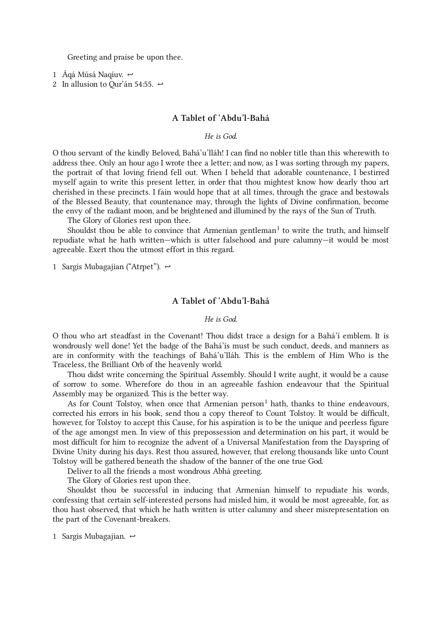Greeting and praise be upon thee.

<span id="page-20-0"></span>1 Aqá Músá Naqíuv.  $\leftrightarrow$ 

<span id="page-20-1"></span>2 In allusion to Qur'án 54:55.  $\leftrightarrow$ 

# A Tablet of 'Abdu'l‑Bahá

## He is God.

O thou servant of the kindly Beloved, Bahá'u'lláh! I can find no nobler title than this wherewith to address thee. Only an hour ago I wrote thee a letter; and now, as I was sorting through my papers, the portrait of that loving friend fell out. When I beheld that adorable countenance, I bestirred myself again to write this present letter, in order that thou mightest know how dearly thou art cherished in these precincts. I fain would hope that at all times, through the grace and bestowals of the Blessed Beauty, that countenance may, through the lights of Divine confirmation, become the envy of the radiant moon, and be brightened and illumined by the rays of the Sun of Truth.

<span id="page-20-3"></span>The Glory of Glories rest upon thee.

Shouldst thou be able to convince that Armenian gentleman<sup>[1](#page-20-2)</sup> to write the truth, and himself repudiate what he hath written—which is utter falsehood and pure calumny—it would be most agreeable. Exert thou the utmost effort in this regard.

<span id="page-20-2"></span>1 Sargis Mubagajian ("Atrpet").  $\leftrightarrow$ 

# A Tablet of 'Abdu'l‑Bahá

#### He is God.

O thou who art steadfast in the Covenant! Thou didst trace a design for a Bahá'í emblem. It is wondrously well done! Yet the badge of the Bahá'ís must be such conduct, deeds, and manners as are in conformity with the teachings of Bahá'u'lláh. This is the emblem of Him Who is the Traceless, the Brilliant Orb of the heavenly world.

Thou didst write concerning the Spiritual Assembly. Should I write aught, it would be a cause of sorrow to some. Wherefore do thou in an agreeable fashion endeavour that the Spiritual Assembly may be organized. This is the better way.

<span id="page-20-5"></span>As for Count Tolstoy, when once that Armenian person<sup>[1](#page-20-4)</sup> hath, thanks to thine endeavours, corrected his errors in his book, send thou a copy thereof to Count Tolstoy. It would be difficult, however, for Tolstoy to accept this Cause, for his aspiration is to be the unique and peerless figure of the age amongst men. In view of this prepossession and determination on his part, it would be most difficult for him to recognize the advent of a Universal Manifestation from the Dayspring of Divine Unity during his days. Rest thou assured, however, that erelong thousands like unto Count Tolstoy will be gathered beneath the shadow of the banner of the one true God.

Deliver to all the friends a most wondrous Abhá greeting.

The Glory of Glories rest upon thee.

Shouldst thou be successful in inducing that Armenian himself to repudiate his words, confessing that certain self-interested persons had misled him, it would be most agreeable, for, as thou hast observed, that which he hath written is utter calumny and sheer misrepresentation on the part of the Covenant-breakers.

<span id="page-20-4"></span>1 Sargis Mubagajian.  $\leftrightarrow$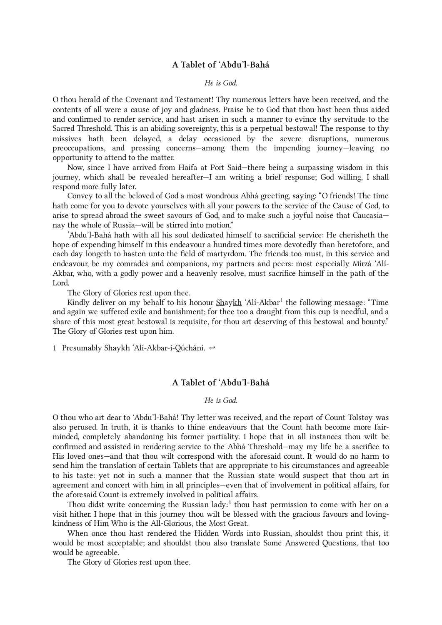# A Tablet of 'Abdu'l‑Bahá

#### He is God.

O thou herald of the Covenant and Testament! Thy numerous letters have been received, and the contents of all were a cause of joy and gladness. Praise be to God that thou hast been thus aided and confirmed to render service, and hast arisen in such a manner to evince thy servitude to the Sacred Threshold. This is an abiding sovereignty, this is a perpetual bestowal! The response to thy missives hath been delayed, a delay occasioned by the severe disruptions, numerous preoccupations, and pressing concerns—among them the impending journey—leaving no opportunity to attend to the matter.

Now, since I have arrived from Haifa at Port Said—there being a surpassing wisdom in this journey, which shall be revealed hereafter—I am writing a brief response; God willing, I shall respond more fully later.

Convey to all the beloved of God a most wondrous Abhá greeting, saying: "O friends! The time hath come for you to devote yourselves with all your powers to the service of the Cause of God, to arise to spread abroad the sweet savours of God, and to make such a joyful noise that Caucasia nay the whole of Russia—will be stirred into motion."

'Abdu'l‑Bahá hath with all his soul dedicated himself to sacrificial service: He cherisheth the hope of expending himself in this endeavour a hundred times more devotedly than heretofore, and each day longeth to hasten unto the field of martyrdom. The friends too must, in this service and endeavour, be my comrades and companions, my partners and peers: most especially Mírzá 'Alí-Akbar, who, with a godly power and a heavenly resolve, must sacrifice himself in the path of the Lord.

<span id="page-21-1"></span>The Glory of Glories rest upon thee.

Kindly deliver on my behalf to his honour **Shaykh** 'Alí-Akbar<sup>[1](#page-21-0)</sup> the following message: "Time and again we suffered exile and banishment; for thee too a draught from this cup is needful, and a share of this most great bestowal is requisite, for thou art deserving of this bestowal and bounty." The Glory of Glories rest upon him.

<span id="page-21-0"></span>1 Presumably Shaykh 'Alí-Akbar-i-Qúchání. ↔

# A Tablet of 'Abdu'l‑Bahá

#### He is God.

O thou who art dear to 'Abdu'l‑Bahá! Thy letter was received, and the report of Count Tolstoy was also perused. In truth, it is thanks to thine endeavours that the Count hath become more fairminded, completely abandoning his former partiality. I hope that in all instances thou wilt be confirmed and assisted in rendering service to the Abhá Threshold—may my life be a sacrifice to His loved ones—and that thou wilt correspond with the aforesaid count. It would do no harm to send him the translation of certain Tablets that are appropriate to his circumstances and agreeable to his taste: yet not in such a manner that the Russian state would suspect that thou art in agreement and concert with him in all principles—even that of involvement in political affairs, for the aforesaid Count is extremely involved in political affairs.

<span id="page-21-2"></span>Thou didst write concerning the Russian lady:<sup>[1](#page-22-0)</sup> thou hast permission to come with her on a visit hither. I hope that in this journey thou wilt be blessed with the gracious favours and lovingkindness of Him Who is the All-Glorious, the Most Great.

When once thou hast rendered the Hidden Words into Russian, shouldst thou print this, it would be most acceptable; and shouldst thou also translate Some Answered Questions, that too would be agreeable.

The Glory of Glories rest upon thee.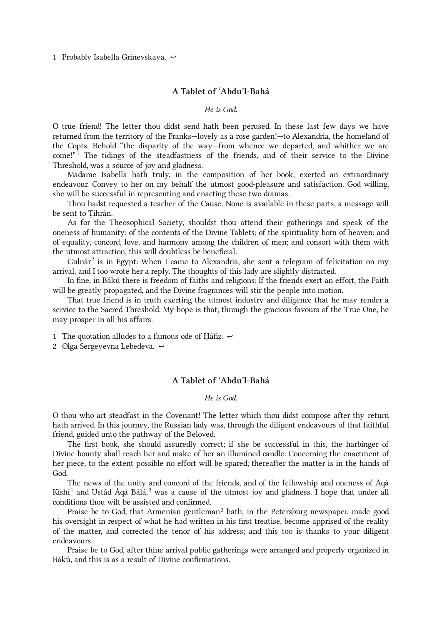<span id="page-22-0"></span>1 Probably Isabella Grinevskaya. ↔

# A Tablet of 'Abdu'l‑Bahá

### He is God.

<span id="page-22-3"></span>O true friend! The letter thou didst send hath been perused. In these last few days we have returned from the territory of the Franks—lovely as a rose garden!—to Alexandria, the homeland of the Copts. Behold "the disparity of the way—from whence we departed, and whither we are come!"<sup>[1](#page-22-1)</sup> The tidings of the steadfastness of the friends, and of their service to the Divine Threshold, was a source of joy and gladness.

Madame Isabella hath truly, in the composition of her book, exerted an extraordinary endeavour. Convey to her on my behalf the utmost good-pleasure and satisfaction. God willing, she will be successful in representing and enacting these two dramas.

Thou hadst requested a teacher of the Cause. None is available in these parts; a message will be sent to Ṭihrán.

As for the Theosophical Society, shouldst thou attend their gatherings and speak of the oneness of humanity; of the contents of the Divine Tablets; of the spirituality born of heaven; and of equality, concord, love, and harmony among the children of men; and consort with them with the utmost attraction, this will doubtless be beneficial.

<span id="page-22-4"></span>Gulnár<sup>[2](#page-22-2)</sup> is in Egypt: When I came to Alexandria, she sent a telegram of felicitation on my arrival, and I too wrote her a reply. The thoughts of this lady are slightly distracted.

In fine, in Bákú there is freedom of faiths and religions: If the friends exert an effort, the Faith will be greatly propagated, and the Divine fragrances will stir the people into motion.

That true friend is in truth exerting the utmost industry and diligence that he may render a service to the Sacred Threshold. My hope is that, through the gracious favours of the True One, he may prosper in all his affairs.

<span id="page-22-1"></span>1 The quotation alludes to a famous ode of Háfiz.  $\leftrightarrow$ 

<span id="page-22-2"></span>2 Olga Sergeyevna Lebedeva. ↔

# A Tablet of 'Abdu'l‑Bahá

#### He is God.

O thou who art steadfast in the Covenant! The letter which thou didst compose after thy return hath arrived. In this journey, the Russian lady was, through the diligent endeavours of that faithful friend, guided unto the pathway of the Beloved.

The first book, she should assuredly correct; if she be successful in this, the harbinger of Divine bounty shall reach her and make of her an illumined candle. Concerning the enactment of her piece, to the extent possible no effort will be spared; thereafter the matter is in the hands of God.

<span id="page-22-5"></span>The news of the unity and concord of the friends, and of the fellowship and oneness of Áqá Kíshí<sup>[1](#page-23-0)</sup> and Ustád Áqá Bálá,<sup>[2](#page-23-1)</sup> was a cause of the utmost joy and gladness. I hope that under all conditions thou wilt be assisted and confirmed.

<span id="page-22-6"></span>Praise be to God, that Armenian gentleman<sup>[3](#page-23-2)</sup> hath, in the Petersburg newspaper, made good his oversight in respect of what he had written in his first treatise, become apprised of the reality of the matter, and corrected the tenor of his address; and this too is thanks to your diligent endeavours.

Praise be to God, after thine arrival public gatherings were arranged and properly organized in Bákú, and this is as a result of Divine confirmations.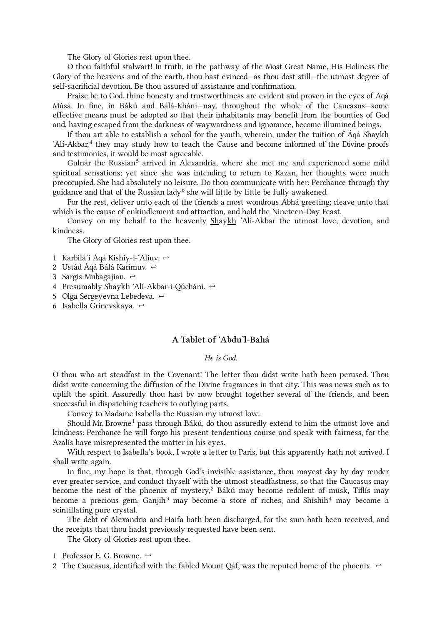The Glory of Glories rest upon thee.

O thou faithful stalwart! In truth, in the pathway of the Most Great Name, His Holiness the Glory of the heavens and of the earth, thou hast evinced—as thou dost still—the utmost degree of self-sacrificial devotion. Be thou assured of assistance and confirmation.

Praise be to God, thine honesty and trustworthiness are evident and proven in the eyes of Áqá Músá. In fine, in Bákú and Bálá-Khání—nay, throughout the whole of the Caucasus—some effective means must be adopted so that their inhabitants may benefit from the bounties of God and, having escaped from the darkness of waywardness and ignorance, become illumined beings.

<span id="page-23-6"></span>If thou art able to establish a school for the youth, wherein, under the tuition of Áqá Shaykh 'Alí-Akbar,<sup>[4](#page-23-3)</sup> they may study how to teach the Cause and become informed of the Divine proofs and testimonies, it would be most agreeable.

<span id="page-23-7"></span>Gulnár the Russian [5](#page-23-4) arrived in Alexandria, where she met me and experienced some mild spiritual sensations; yet since she was intending to return to Kazan, her thoughts were much preoccupied. She had absolutely no leisure. Do thou communicate with her: Perchance through thy guidance and that of the Russian lady<sup>[6](#page-23-5)</sup> she will little by little be fully awakened.

For the rest, deliver unto each of the friends a most wondrous Abhá greeting; cleave unto that which is the cause of enkindlement and attraction, and hold the Nineteen-Day Feast.

Convey on my behalf to the heavenly Shaykh 'Alí-Akbar the utmost love, devotion, and kindness.

The Glory of Glories rest upon thee.

<span id="page-23-0"></span>Karbilá'í Áqá Kishíy-i-'Alíuv. [↩](#page-22-5) 1

- <span id="page-23-1"></span>Ustád Áqá Bálá Karímuv. [↩](#page-22-5) 2
- <span id="page-23-2"></span>3 Sargis Mubagajian. ↔
- <span id="page-23-3"></span>4 Presumably Shaykh 'Alí-Akbar-i-Qúchání. ↔
- <span id="page-23-4"></span>5 Olga Sergeyevna Lebedeva. ↔
- <span id="page-23-5"></span>6 Isabella Grinevskaya. ↔

# A Tablet of 'Abdu'l‑Bahá

#### He is God.

O thou who art steadfast in the Covenant! The letter thou didst write hath been perused. Thou didst write concerning the diffusion of the Divine fragrances in that city. This was news such as to uplift the spirit. Assuredly thou hast by now brought together several of the friends, and been successful in dispatching teachers to outlying parts.

<span id="page-23-10"></span>Convey to Madame Isabella the Russian my utmost love.

Should Mr. Browne [1](#page-23-8) pass through Bákú, do thou assuredly extend to him the utmost love and kindness: Perchance he will forgo his present tendentious course and speak with fairness, for the Azalís have misrepresented the matter in his eyes.

With respect to Isabella's book, I wrote a letter to Paris, but this apparently hath not arrived. I shall write again.

<span id="page-23-11"></span>In fine, my hope is that, through God's invisible assistance, thou mayest day by day render ever greater service, and conduct thyself with the utmost steadfastness, so that the Caucasus may become the nest of the phoenix of mystery, [2](#page-23-9) Bákú may become redolent of musk, Tiflís may become a precious gem, Ganjih<sup>[3](#page-24-0)</sup> may become a store of riches, and Shíshih<sup>[4](#page-24-1)</sup> may become a scintillating pure crystal.

The debt of Alexandria and Haifa hath been discharged, for the sum hath been received, and the receipts that thou hadst previously requested have been sent.

The Glory of Glories rest upon thee.

<span id="page-23-8"></span>1 Professor E. G. Browne.  $\leftrightarrow$ 

<span id="page-23-9"></span>2 The Caucasus, identified with the fabled Mount Qáf, was the reputed home of the phoenix.  $\leftrightarrow$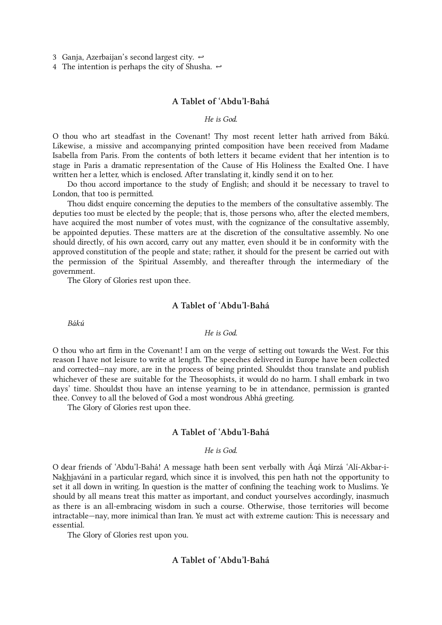<span id="page-24-0"></span>3 Ganja, Azerbaijan's second largest city.  $\leftrightarrow$ 

<span id="page-24-1"></span>4 The intention is perhaps the city of Shusha.  $\leftrightarrow$ 

# A Tablet of 'Abdu'l‑Bahá

# He is God.

O thou who art steadfast in the Covenant! Thy most recent letter hath arrived from Bákú. Likewise, a missive and accompanying printed composition have been received from Madame Isabella from Paris. From the contents of both letters it became evident that her intention is to stage in Paris a dramatic representation of the Cause of His Holiness the Exalted One. I have written her a letter, which is enclosed. After translating it, kindly send it on to her.

Do thou accord importance to the study of English; and should it be necessary to travel to London, that too is permitted.

Thou didst enquire concerning the deputies to the members of the consultative assembly. The deputies too must be elected by the people; that is, those persons who, after the elected members, have acquired the most number of votes must, with the cognizance of the consultative assembly, be appointed deputies. These matters are at the discretion of the consultative assembly. No one should directly, of his own accord, carry out any matter, even should it be in conformity with the approved constitution of the people and state; rather, it should for the present be carried out with the permission of the Spiritual Assembly, and thereafter through the intermediary of the government.

The Glory of Glories rest upon thee.

# A Tablet of 'Abdu'l‑Bahá

Bákú

#### He is God.

O thou who art firm in the Covenant! I am on the verge of setting out towards the West. For this reason I have not leisure to write at length. The speeches delivered in Europe have been collected and corrected—nay more, are in the process of being printed. Shouldst thou translate and publish whichever of these are suitable for the Theosophists, it would do no harm. I shall embark in two days' time. Shouldst thou have an intense yearning to be in attendance, permission is granted thee. Convey to all the beloved of God a most wondrous Abhá greeting.

The Glory of Glories rest upon thee.

# A Tablet of 'Abdu'l‑Bahá

## He is God.

O dear friends of 'Abdu'l‑Bahá! A message hath been sent verbally with Áqá Mírzá 'Alí-Akbar-i-Nakhjavání in a particular regard, which since it is involved, this pen hath not the opportunity to set it all down in writing. In question is the matter of confining the teaching work to Muslims. Ye should by all means treat this matter as important, and conduct yourselves accordingly, inasmuch as there is an all-embracing wisdom in such a course. Otherwise, those territories will become intractable—nay, more inimical than Iran. Ye must act with extreme caution: This is necessary and essential.

The Glory of Glories rest upon you.

# A Tablet of 'Abdu'l‑Bahá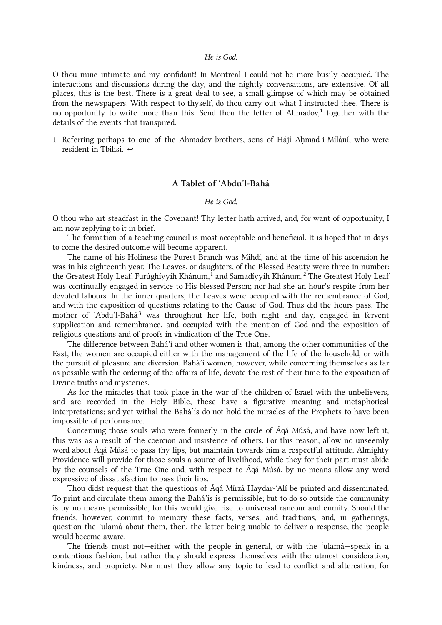#### He is God.

<span id="page-25-1"></span>O thou mine intimate and my confidant! In Montreal I could not be more busily occupied. The interactions and discussions during the day, and the nightly conversations, are extensive. Of all places, this is the best. There is a great deal to see, a small glimpse of which may be obtained from the newspapers. With respect to thyself, do thou carry out what I instructed thee. There is no opportunity to write more than this. Send thou the letter of Ahmadov,<sup>[1](#page-25-0)</sup> together with the details of the events that transpired.

<span id="page-25-0"></span>1 Referring perhaps to one of the Ahmadov brothers, sons of Hájí Aḥmad-i-Mílání, who were resident in Thilisi.  $\leftrightarrow$ 

# A Tablet of 'Abdu'l‑Bahá

### He is God.

O thou who art steadfast in the Covenant! Thy letter hath arrived, and, for want of opportunity, I am now replying to it in brief.

The formation of a teaching council is most acceptable and beneficial. It is hoped that in days to come the desired outcome will become apparent.

<span id="page-25-2"></span>The name of his Holiness the Purest Branch was Mihdí, and at the time of his ascension he was in his eighteenth year. The Leaves, or daughters, of the Blessed Beauty were three in number: the Greatest Holy Leaf, Furúg<u>h</u>íyyih <u>Kh</u>ánum,<sup>[1](#page-26-0)</sup> and Ṣamadíyyih <u>Kh</u>ánum.<sup>[2](#page-26-1)</sup> The Greatest Holy Leaf was continually engaged in service to His blessed Person; nor had she an hour's respite from her devoted labours. In the inner quarters, the Leaves were occupied with the remembrance of God, and with the exposition of questions relating to the Cause of God. Thus did the hours pass. The mother of 'Abdu'l-Bahá<sup>[3](#page-26-2)</sup> was throughout her life, both night and day, engaged in fervent supplication and remembrance, and occupied with the mention of God and the exposition of religious questions and of proofs in vindication of the True One.

The difference between Bahá'í and other women is that, among the other communities of the East, the women are occupied either with the management of the life of the household, or with the pursuit of pleasure and diversion. Bahá'í women, however, while concerning themselves as far as possible with the ordering of the affairs of life, devote the rest of their time to the exposition of Divine truths and mysteries.

As for the miracles that took place in the war of the children of Israel with the unbelievers, and are recorded in the Holy Bible, these have a figurative meaning and metaphorical interpretations; and yet withal the Bahá'ís do not hold the miracles of the Prophets to have been impossible of performance.

Concerning those souls who were formerly in the circle of Áqá Músá, and have now left it, this was as a result of the coercion and insistence of others. For this reason, allow no unseemly word about Áqá Músá to pass thy lips, but maintain towards him a respectful attitude. Almighty Providence will provide for those souls a source of livelihood, while they for their part must abide by the counsels of the True One and, with respect to Áqá Músá, by no means allow any word expressive of dissatisfaction to pass their lips.

Thou didst request that the questions of Áqá Mírzá Haydar-'Alí be printed and disseminated. To print and circulate them among the Bahá'ís is permissible; but to do so outside the community is by no means permissible, for this would give rise to universal rancour and enmity. Should the friends, however, commit to memory these facts, verses, and traditions, and, in gatherings, question the 'ulamá about them, then, the latter being unable to deliver a response, the people would become aware.

The friends must not—either with the people in general, or with the 'ulamá—speak in a contentious fashion, but rather they should express themselves with the utmost consideration, kindness, and propriety. Nor must they allow any topic to lead to conflict and altercation, for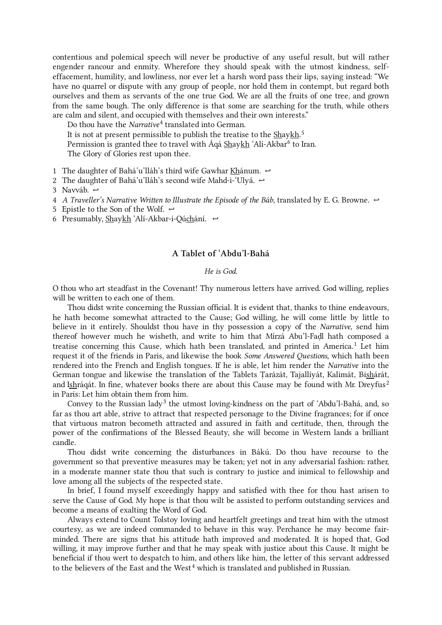contentious and polemical speech will never be productive of any useful result, but will rather engender rancour and enmity. Wherefore they should speak with the utmost kindness, selfeffacement, humility, and lowliness, nor ever let a harsh word pass their lips, saying instead: "We have no quarrel or dispute with any group of people, nor hold them in contempt, but regard both ourselves and them as servants of the one true God. We are all the fruits of one tree, and grown from the same bough. The only difference is that some are searching for the truth, while others are calm and silent, and occupied with themselves and their own interests."

<span id="page-26-6"></span>Do thou have the *Narrative*<sup>[4](#page-26-3)</sup> translated into German.

<span id="page-26-7"></span>It is not at present permissible to publish the treatise to the <u>Sh</u>ay<u>kh</u>.<sup>[5](#page-26-4)</sup>

<span id="page-26-8"></span>Permission is granted thee to travel with Áqá <u>Sh</u>ay<u>kh</u> 'Alí-Akbar<sup>[6](#page-26-5)</sup> to Iran.

The Glory of Glories rest upon thee.

<span id="page-26-0"></span>1 The daughter of Bahá'u'lláh's third wife Gawhar  $\underline{\text{Kh}}$ ánum.  $\leftrightarrow$ 

<span id="page-26-1"></span>2 The daughter of Bahá'u'lláh's second wife Mahd-i-'Ulyá. ↔

<span id="page-26-3"></span>4 A Traveller's Narrative Written to Illustrate the Episode of the Báb, translated by E. G. Browne.  $\leftrightarrow$ 

<span id="page-26-4"></span>5 Epistle to the Son of the Wolf.  $\leftrightarrow$ 

<span id="page-26-5"></span>6 Presumably, <u>Sh</u>ay<u>kh</u> 'Alí-Akbar-i-Qú<u>ch</u>ání. ↔

# A Tablet of 'Abdu'l‑Bahá

#### He is God.

O thou who art steadfast in the Covenant! Thy numerous letters have arrived. God willing, replies will be written to each one of them.

<span id="page-26-9"></span>Thou didst write concerning the Russian official. It is evident that, thanks to thine endeavours, he hath become somewhat attracted to the Cause; God willing, he will come little by little to believe in it entirely. Shouldst thou have in thy possession a copy of the Narrative, send him thereof however much he wisheth, and write to him that Mírzá Abu'l-Faḍl hath composed a treatise concerning this Cause, which hath been translated, and printed in America.<sup>[1](#page-27-0)</sup> Let him request it of the friends in Paris, and likewise the book Some Answered Questions, which hath been rendered into the French and English tongues. If he is able, let him render the Narrative into the German tongue and likewise the translation of the Tablets Tarázát, Tajallíyát, Kalimát, Bishárát, and I<u>sh</u>ráqát. In fine, whatever books there are about this Cause may be found with Mr. Dreyfus<sup>[2](#page-27-1)</sup> in Paris: Let him obtain them from him.

<span id="page-26-10"></span>Convey to the Russian lady<sup>[3](#page-27-2)</sup> the utmost loving-kindness on the part of 'Abdu'l-Bahá, and, so far as thou art able, strive to attract that respected personage to the Divine fragrances; for if once that virtuous matron becometh attracted and assured in faith and certitude, then, through the power of the confirmations of the Blessed Beauty, she will become in Western lands a brilliant candle.

Thou didst write concerning the disturbances in Bákú. Do thou have recourse to the government so that preventive measures may be taken; yet not in any adversarial fashion: rather, in a moderate manner state thou that such is contrary to justice and inimical to fellowship and love among all the subjects of the respected state.

In brief, I found myself exceedingly happy and satisfied with thee for thou hast arisen to serve the Cause of God. My hope is that thou wilt be assisted to perform outstanding services and become a means of exalting the Word of God.

<span id="page-26-11"></span>Always extend to Count Tolstoy loving and heartfelt greetings and treat him with the utmost courtesy, as we are indeed commanded to behave in this way. Perchance he may become fairminded. There are signs that his attitude hath improved and moderated. It is hoped that, God willing, it may improve further and that he may speak with justice about this Cause. It might be beneficial if thou wert to despatch to him, and others like him, the letter of this servant addressed to the believers of the East and the West<sup>[4](#page-27-3)</sup> which is translated and published in Russian.

<span id="page-26-2"></span>Navváb. [↩](#page-25-2) 3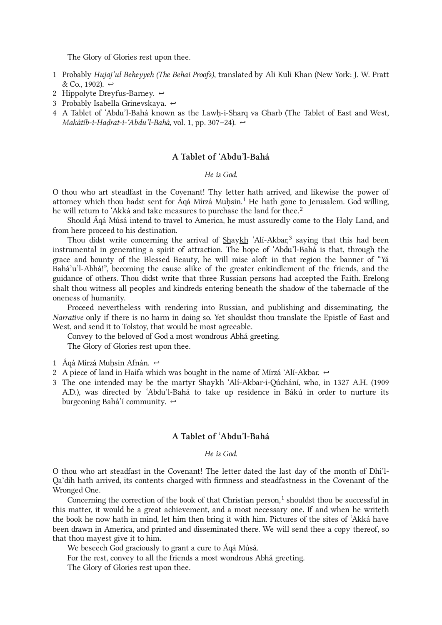The Glory of Glories rest upon thee.

- <span id="page-27-0"></span>1 Probably *Hujaj'ul Beheyyeh (The Behai Proofs)*, translated by Ali Kuli Khan (New York: J. W. Pratt & Co., 1902).  $\leftrightarrow$
- <span id="page-27-1"></span>2 Hippolyte Dreyfus-Barney.  $\leftrightarrow$
- <span id="page-27-2"></span>3 Probably Isabella Grinevskaya. ↔
- <span id="page-27-3"></span>A Tablet of 'Abdu'l‑Bahá known as the Lawḥ-i-Sharq va Gharb (The Tablet of East and West, 4 Makátíb-i-Hadrat-i-'Abdu'l-Bahá, vol. 1, pp. 307–24).  $\leftrightarrow$

### A Tablet of 'Abdu'l‑Bahá

# He is God.

<span id="page-27-7"></span>O thou who art steadfast in the Covenant! Thy letter hath arrived, and likewise the power of attorney which thou hadst sent for Áqá Mírzá Muḥsin. [1](#page-27-4) He hath gone to Jerusalem. God willing, he will return to 'Akká and take measures to purchase the land for thee. [2](#page-27-5)

Should Áqá Músá intend to travel to America, he must assuredly come to the Holy Land, and from here proceed to his destination.

<span id="page-27-8"></span>Thou didst write concerning the arrival of Shaykh 'Alí-Akbar,<sup>[3](#page-27-6)</sup> saying that this had been instrumental in generating a spirit of attraction. The hope of 'Abdu'l-Bahá is that, through the grace and bounty of the Blessed Beauty, he will raise aloft in that region the banner of "Yá Bahá'u'l-Abhá!", becoming the cause alike of the greater enkindlement of the friends, and the guidance of others. Thou didst write that three Russian persons had accepted the Faith. Erelong shalt thou witness all peoples and kindreds entering beneath the shadow of the tabernacle of the oneness of humanity.

Proceed nevertheless with rendering into Russian, and publishing and disseminating, the Narrative only if there is no harm in doing so. Yet shouldst thou translate the Epistle of East and West, and send it to Tolstoy, that would be most agreeable.

Convey to the beloved of God a most wondrous Abhá greeting.

The Glory of Glories rest upon thee.

<span id="page-27-4"></span>1 Aqá Mírzá Muḥsin Afnán. ↔

- <span id="page-27-5"></span>2 A piece of land in Haifa which was bought in the name of Mírzá 'Alí-Akbar.  $\leftrightarrow$
- <span id="page-27-6"></span>3 The one intended may be the martyr <u>Sh</u>ay<u>kh</u> 'Alí-Akbar-i-Qú<u>ch</u>ání, who, in 1327 A.H. (1909 A.D.), was directed by 'Abdu'l-Bahá to take up residence in Bákú in order to nurture its burgeoning Bahá'í community. [↩](#page-27-8)

# A Tablet of 'Abdu'l‑Bahá

#### He is God.

O thou who art steadfast in the Covenant! The letter dated the last day of the month of Dhi'l-Qa'dih hath arrived, its contents charged with firmness and steadfastness in the Covenant of the Wronged One.

<span id="page-27-9"></span>Concerning the correction of the book of that Christian person, [1](#page-28-0) shouldst thou be successful in this matter, it would be a great achievement, and a most necessary one. If and when he writeth the book he now hath in mind, let him then bring it with him. Pictures of the sites of 'Akká have been drawn in America, and printed and disseminated there. We will send thee a copy thereof, so that thou mayest give it to him.

We beseech God graciously to grant a cure to Áqá Músá.

For the rest, convey to all the friends a most wondrous Abhá greeting.

The Glory of Glories rest upon thee.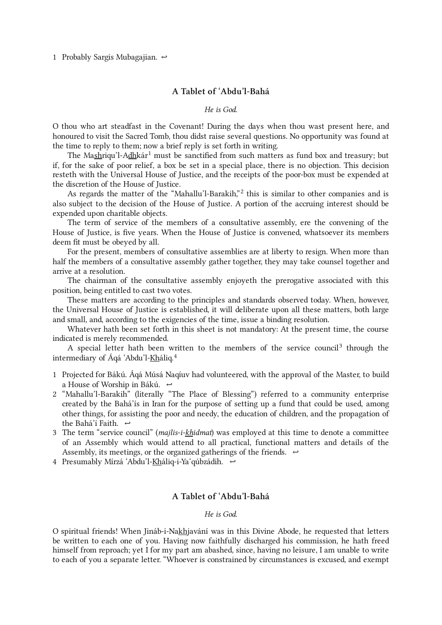<span id="page-28-0"></span>1 Probably Sargis Mubagajian.  $\leftrightarrow$ 

# A Tablet of 'Abdu'l‑Bahá

#### He is God.

O thou who art steadfast in the Covenant! During the days when thou wast present here, and honoured to visit the Sacred Tomb, thou didst raise several questions. No opportunity was found at the time to reply to them; now a brief reply is set forth in writing.

<span id="page-28-5"></span>The Mashriqu'l-Adhkár<sup>[1](#page-28-1)</sup> must be sanctified from such matters as fund box and treasury; but if, for the sake of poor relief, a box be set in a special place, there is no objection. This decision resteth with the Universal House of Justice, and the receipts of the poor-box must be expended at the discretion of the House of Justice.

<span id="page-28-6"></span>As regards the matter of the "Mahallu'l-Barakih,"<sup>[2](#page-28-2)</sup> this is similar to other companies and is also subject to the decision of the House of Justice. A portion of the accruing interest should be expended upon charitable objects.

The term of service of the members of a consultative assembly, ere the convening of the House of Justice, is five years. When the House of Justice is convened, whatsoever its members deem fit must be obeyed by all.

For the present, members of consultative assemblies are at liberty to resign. When more than half the members of a consultative assembly gather together, they may take counsel together and arrive at a resolution.

The chairman of the consultative assembly enjoyeth the prerogative associated with this position, being entitled to cast two votes.

These matters are according to the principles and standards observed today. When, however, the Universal House of Justice is established, it will deliberate upon all these matters, both large and small, and, according to the exigencies of the time, issue a binding resolution.

Whatever hath been set forth in this sheet is not mandatory: At the present time, the course indicated is merely recommended.

<span id="page-28-7"></span>A special letter hath been written to the members of the service council<sup>[3](#page-28-3)</sup> through the intermediary of Áqá 'Abdu'l-<u>Kh</u>áliq.<sup>[4](#page-28-4)</sup>

- <span id="page-28-1"></span>Projected for Bákú. Áqá Músá Naqíuv had volunteered, with the approval of the Master, to build 1 a House of Worship in Bákú. [↩](#page-28-5)
- <span id="page-28-2"></span>2 "Mahallu'l-Barakih" (literally "The Place of Blessing") referred to a community enterprise created by the Bahá'ís in Iran for the purpose of setting up a fund that could be used, among other things, for assisting the poor and needy, the education of children, and the propagation of the Bahá'í Faith.  $\leftrightarrow$
- <span id="page-28-3"></span>3 The term "service council" (*majlis-i-<u>kh</u>idmat*) was employed at this time to denote a committee of an Assembly which would attend to all practical, functional matters and details of the Assembly, its meetings, or the organized gatherings of the friends.  $\leftrightarrow$
- <span id="page-28-4"></span>4 Presumably Mírzá 'Abdu'l-<u>Kh</u>áliq-i-Ya'qúbzádih. ↔

# A Tablet of 'Abdu'l‑Bahá

#### He is God.

<span id="page-28-8"></span>O spiritual friends! When Jináb-i-Nakhjavání was in this Divine Abode, he requested that letters be written to each one of you. Having now faithfully discharged his commission, he hath freed himself from reproach; yet I for my part am abashed, since, having no leisure, I am unable to write to each of you a separate letter. "Whoever is constrained by circumstances is excused, and exempt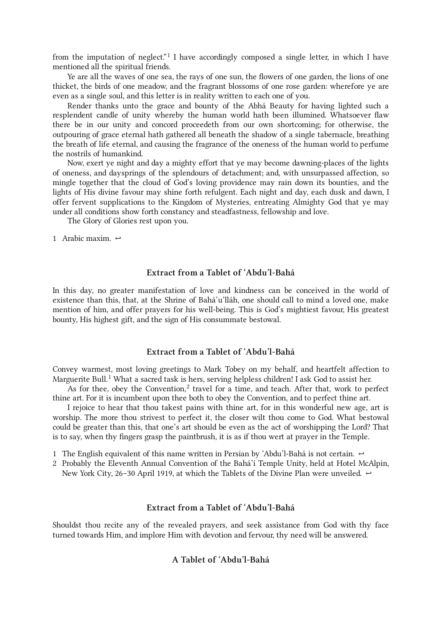from the imputation of neglect."<sup>[1](#page-29-0)</sup> I have accordingly composed a single letter, in which I have mentioned all the spiritual friends.

Ye are all the waves of one sea, the rays of one sun, the flowers of one garden, the lions of one thicket, the birds of one meadow, and the fragrant blossoms of one rose garden: wherefore ye are even as a single soul, and this letter is in reality written to each one of you.

Render thanks unto the grace and bounty of the Abhá Beauty for having lighted such a resplendent candle of unity whereby the human world hath been illumined. Whatsoever flaw there be in our unity and concord proceedeth from our own shortcoming; for otherwise, the outpouring of grace eternal hath gathered all beneath the shadow of a single tabernacle, breathing the breath of life eternal, and causing the fragrance of the oneness of the human world to perfume the nostrils of humankind.

Now, exert ye night and day a mighty effort that ye may become dawning-places of the lights of oneness, and daysprings of the splendours of detachment; and, with unsurpassed affection, so mingle together that the cloud of God's loving providence may rain down its bounties, and the lights of His divine favour may shine forth refulgent. Each night and day, each dusk and dawn, I offer fervent supplications to the Kingdom of Mysteries, entreating Almighty God that ye may under all conditions show forth constancy and steadfastness, fellowship and love.

The Glory of Glories rest upon you.

<span id="page-29-0"></span>1 Arabic maxim.  $\leftrightarrow$ 

# Extract from a Tablet of 'Abdu'l‑Bahá

In this day, no greater manifestation of love and kindness can be conceived in the world of existence than this, that, at the Shrine of Bahá'u'lláh, one should call to mind a loved one, make mention of him, and offer prayers for his well-being. This is God's mightiest favour, His greatest bounty, His highest gift, and the sign of His consummate bestowal.

### Extract from a Tablet of 'Abdu'l‑Bahá

<span id="page-29-3"></span>Convey warmest, most loving greetings to Mark Tobey on my behalf, and heartfelt affection to Marguerite Bull.<sup>[1](#page-29-1)</sup> What a sacred task is hers, serving helpless children! I ask God to assist her.

<span id="page-29-4"></span>As for thee, obey the Convention,<sup>[2](#page-29-2)</sup> travel for a time, and teach. After that, work to perfect thine art. For it is incumbent upon thee both to obey the Convention, and to perfect thine art.

I rejoice to hear that thou takest pains with thine art, for in this wonderful new age, art is worship. The more thou strivest to perfect it, the closer wilt thou come to God. What bestowal could be greater than this, that one's art should be even as the act of worshipping the Lord? That is to say, when thy fingers grasp the paintbrush, it is as if thou wert at prayer in the Temple.

<span id="page-29-1"></span>1 The English equivalent of this name written in Persian by 'Abdu'l-Bahá is not certain.  $\leftrightarrow$ 

<span id="page-29-2"></span>Probably the Eleventh Annual Convention of the Bahá'í Temple Unity, held at Hotel McAlpin, 2New York City, 26–30 April 1919, at which the Tablets of the Divine Plan were unveiled.  $\leftrightarrow$ 

## Extract from a Tablet of 'Abdu'l‑Bahá

Shouldst thou recite any of the revealed prayers, and seek assistance from God with thy face turned towards Him, and implore Him with devotion and fervour, thy need will be answered.

# A Tablet of 'Abdu'l‑Bahá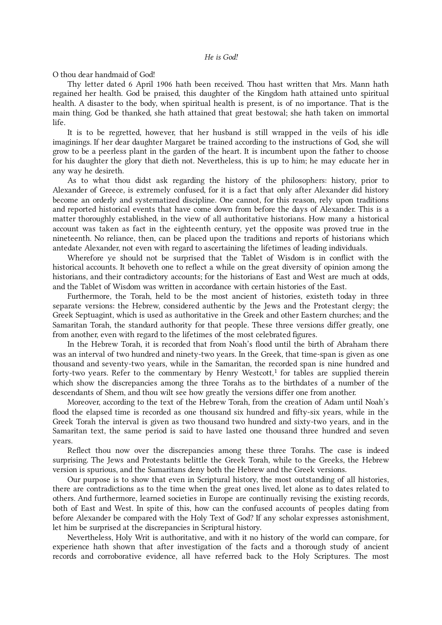O thou dear handmaid of God!

Thy letter dated 6 April 1906 hath been received. Thou hast written that Mrs. Mann hath regained her health. God be praised, this daughter of the Kingdom hath attained unto spiritual health. A disaster to the body, when spiritual health is present, is of no importance. That is the main thing. God be thanked, she hath attained that great bestowal; she hath taken on immortal life.

It is to be regretted, however, that her husband is still wrapped in the veils of his idle imaginings. If her dear daughter Margaret be trained according to the instructions of God, she will grow to be a peerless plant in the garden of the heart. It is incumbent upon the father to choose for his daughter the glory that dieth not. Nevertheless, this is up to him; he may educate her in any way he desireth.

As to what thou didst ask regarding the history of the philosophers: history, prior to Alexander of Greece, is extremely confused, for it is a fact that only after Alexander did history become an orderly and systematized discipline. One cannot, for this reason, rely upon traditions and reported historical events that have come down from before the days of Alexander. This is a matter thoroughly established, in the view of all authoritative historians. How many a historical account was taken as fact in the eighteenth century, yet the opposite was proved true in the nineteenth. No reliance, then, can be placed upon the traditions and reports of historians which antedate Alexander, not even with regard to ascertaining the lifetimes of leading individuals.

Wherefore ye should not be surprised that the Tablet of Wisdom is in conflict with the historical accounts. It behoveth one to reflect a while on the great diversity of opinion among the historians, and their contradictory accounts; for the historians of East and West are much at odds, and the Tablet of Wisdom was written in accordance with certain histories of the East.

Furthermore, the Torah, held to be the most ancient of histories, existeth today in three separate versions: the Hebrew, considered authentic by the Jews and the Protestant clergy; the Greek Septuagint, which is used as authoritative in the Greek and other Eastern churches; and the Samaritan Torah, the standard authority for that people. These three versions differ greatly, one from another, even with regard to the lifetimes of the most celebrated figures.

<span id="page-30-0"></span>In the Hebrew Torah, it is recorded that from Noah's flood until the birth of Abraham there was an interval of two hundred and ninety-two years. In the Greek, that time-span is given as one thousand and seventy-two years, while in the Samaritan, the recorded span is nine hundred and forty-two years. Refer to the commentary by Henry Westcott,<sup>[1](#page-31-0)</sup> for tables are supplied therein which show the discrepancies among the three Torahs as to the birthdates of a number of the descendants of Shem, and thou wilt see how greatly the versions differ one from another.

Moreover, according to the text of the Hebrew Torah, from the creation of Adam until Noah's flood the elapsed time is recorded as one thousand six hundred and fifty-six years, while in the Greek Torah the interval is given as two thousand two hundred and sixty-two years, and in the Samaritan text, the same period is said to have lasted one thousand three hundred and seven years.

Reflect thou now over the discrepancies among these three Torahs. The case is indeed surprising. The Jews and Protestants belittle the Greek Torah, while to the Greeks, the Hebrew version is spurious, and the Samaritans deny both the Hebrew and the Greek versions.

Our purpose is to show that even in Scriptural history, the most outstanding of all histories, there are contradictions as to the time when the great ones lived, let alone as to dates related to others. And furthermore, learned societies in Europe are continually revising the existing records, both of East and West. In spite of this, how can the confused accounts of peoples dating from before Alexander be compared with the Holy Text of God? If any scholar expresses astonishment, let him be surprised at the discrepancies in Scriptural history.

Nevertheless, Holy Writ is authoritative, and with it no history of the world can compare, for experience hath shown that after investigation of the facts and a thorough study of ancient records and corroborative evidence, all have referred back to the Holy Scriptures. The most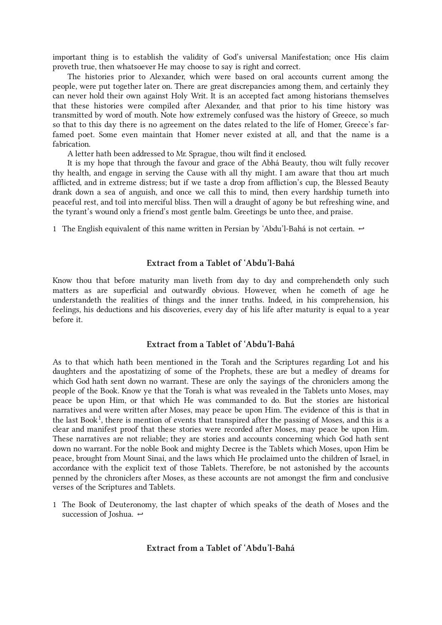important thing is to establish the validity of God's universal Manifestation; once His claim proveth true, then whatsoever He may choose to say is right and correct.

The histories prior to Alexander, which were based on oral accounts current among the people, were put together later on. There are great discrepancies among them, and certainly they can never hold their own against Holy Writ. It is an accepted fact among historians themselves that these histories were compiled after Alexander, and that prior to his time history was transmitted by word of mouth. Note how extremely confused was the history of Greece, so much so that to this day there is no agreement on the dates related to the life of Homer, Greece's farfamed poet. Some even maintain that Homer never existed at all, and that the name is a fabrication.

A letter hath been addressed to Mr. Sprague, thou wilt find it enclosed.

It is my hope that through the favour and grace of the Abhá Beauty, thou wilt fully recover thy health, and engage in serving the Cause with all thy might. I am aware that thou art much afflicted, and in extreme distress; but if we taste a drop from affliction's cup, the Blessed Beauty drank down a sea of anguish, and once we call this to mind, then every hardship turneth into peaceful rest, and toil into merciful bliss. Then will a draught of agony be but refreshing wine, and the tyrant's wound only a friend's most gentle balm. Greetings be unto thee, and praise.

<span id="page-31-0"></span>1 The English equivalent of this name written in Persian by 'Abdu'l-Bahá is not certain.  $\leftrightarrow$ 

## Extract from a Tablet of 'Abdu'l‑Bahá

Know thou that before maturity man liveth from day to day and comprehendeth only such matters as are superficial and outwardly obvious. However, when he cometh of age he understandeth the realities of things and the inner truths. Indeed, in his comprehension, his feelings, his deductions and his discoveries, every day of his life after maturity is equal to a year before it.

## Extract from a Tablet of 'Abdu'l-Bahá

<span id="page-31-2"></span>As to that which hath been mentioned in the Torah and the Scriptures regarding Lot and his daughters and the apostatizing of some of the Prophets, these are but a medley of dreams for which God hath sent down no warrant. These are only the sayings of the chroniclers among the people of the Book. Know ye that the Torah is what was revealed in the Tablets unto Moses, may peace be upon Him, or that which He was commanded to do. But the stories are historical narratives and were written after Moses, may peace be upon Him. The evidence of this is that in the last Book<sup>[1](#page-31-1)</sup>, there is mention of events that transpired after the passing of Moses, and this is a clear and manifest proof that these stories were recorded after Moses, may peace be upon Him. These narratives are not reliable; they are stories and accounts concerning which God hath sent down no warrant. For the noble Book and mighty Decree is the Tablets which Moses, upon Him be peace, brought from Mount Sinai, and the laws which He proclaimed unto the children of Israel, in accordance with the explicit text of those Tablets. Therefore, be not astonished by the accounts penned by the chroniclers after Moses, as these accounts are not amongst the firm and conclusive verses of the Scriptures and Tablets.

<span id="page-31-1"></span>1 The Book of Deuteronomy, the last chapter of which speaks of the death of Moses and the succession of Joshua.  $\leftrightarrow$ 

# Extract from a Tablet of 'Abdu'l‑Bahá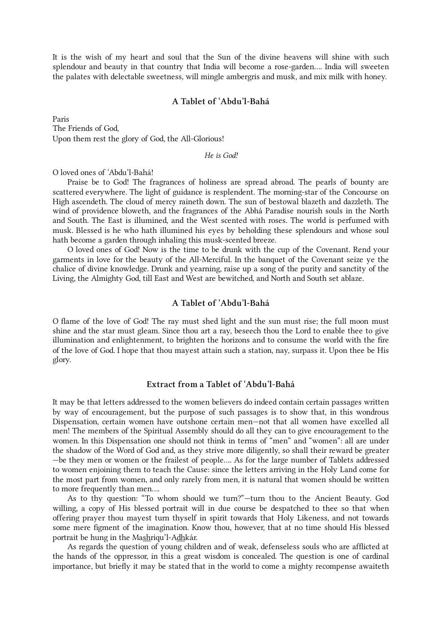It is the wish of my heart and soul that the Sun of the divine heavens will shine with such splendour and beauty in that country that India will become a rose-garden.... India will sweeten the palates with delectable sweetness, will mingle ambergris and musk, and mix milk with honey.

# A Tablet of 'Abdu'l‑Bahá

Paris The Friends of God, Upon them rest the glory of God, the All-Glorious!

He is God!

O loved ones of 'Abdu'l‑Bahá!

Praise be to God! The fragrances of holiness are spread abroad. The pearls of bounty are scattered everywhere. The light of guidance is resplendent. The morning-star of the Concourse on High ascendeth. The cloud of mercy raineth down. The sun of bestowal blazeth and dazzleth. The wind of providence bloweth, and the fragrances of the Abhá Paradise nourish souls in the North and South. The East is illumined, and the West scented with roses. The world is perfumed with musk. Blessed is he who hath illumined his eyes by beholding these splendours and whose soul hath become a garden through inhaling this musk-scented breeze.

O loved ones of God! Now is the time to be drunk with the cup of the Covenant. Rend your garments in love for the beauty of the All-Merciful. In the banquet of the Covenant seize ye the chalice of divine knowledge. Drunk and yearning, raise up a song of the purity and sanctity of the Living, the Almighty God, till East and West are bewitched, and North and South set ablaze.

## A Tablet of 'Abdu'l‑Bahá

O flame of the love of God! The ray must shed light and the sun must rise; the full moon must shine and the star must gleam. Since thou art a ray, beseech thou the Lord to enable thee to give illumination and enlightenment, to brighten the horizons and to consume the world with the fire of the love of God. I hope that thou mayest attain such a station, nay, surpass it. Upon thee be His glory.

#### Extract from a Tablet of 'Abdu'l‑Bahá

It may be that letters addressed to the women believers do indeed contain certain passages written by way of encouragement, but the purpose of such passages is to show that, in this wondrous Dispensation, certain women have outshone certain men—not that all women have excelled all men! The members of the Spiritual Assembly should do all they can to give encouragement to the women. In this Dispensation one should not think in terms of "men" and "women": all are under the shadow of the Word of God and, as they strive more diligently, so shall their reward be greater —be they men or women or the frailest of people.... As for the large number of Tablets addressed to women enjoining them to teach the Cause: since the letters arriving in the Holy Land come for the most part from women, and only rarely from men, it is natural that women should be written to more frequently than men....

As to thy question: "To whom should we turn?"—turn thou to the Ancient Beauty. God willing, a copy of His blessed portrait will in due course be despatched to thee so that when offering prayer thou mayest turn thyself in spirit towards that Holy Likeness, and not towards some mere figment of the imagination. Know thou, however, that at no time should His blessed portrait be hung in the Mashriqu'l-Adhkár.

As regards the question of young children and of weak, defenseless souls who are afflicted at the hands of the oppressor, in this a great wisdom is concealed. The question is one of cardinal importance, but briefly it may be stated that in the world to come a mighty recompense awaiteth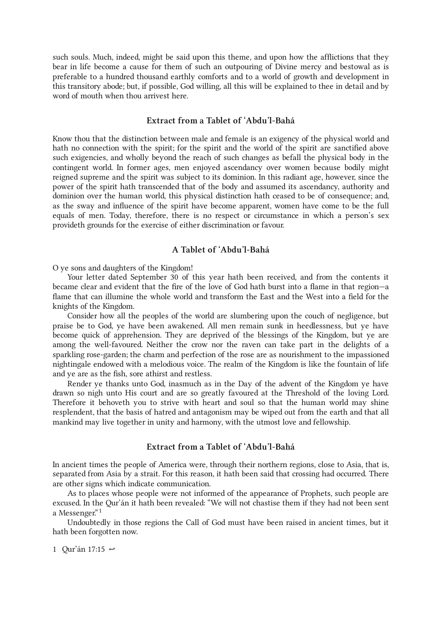such souls. Much, indeed, might be said upon this theme, and upon how the afflictions that they bear in life become a cause for them of such an outpouring of Divine mercy and bestowal as is preferable to a hundred thousand earthly comforts and to a world of growth and development in this transitory abode; but, if possible, God willing, all this will be explained to thee in detail and by word of mouth when thou arrivest here.

## Extract from a Tablet of 'Abdu'l-Bahá

Know thou that the distinction between male and female is an exigency of the physical world and hath no connection with the spirit; for the spirit and the world of the spirit are sanctified above such exigencies, and wholly beyond the reach of such changes as befall the physical body in the contingent world. In former ages, men enjoyed ascendancy over women because bodily might reigned supreme and the spirit was subject to its dominion. In this radiant age, however, since the power of the spirit hath transcended that of the body and assumed its ascendancy, authority and dominion over the human world, this physical distinction hath ceased to be of consequence; and, as the sway and influence of the spirit have become apparent, women have come to be the full equals of men. Today, therefore, there is no respect or circumstance in which a person's sex provideth grounds for the exercise of either discrimination or favour.

# A Tablet of 'Abdu'l‑Bahá

O ye sons and daughters of the Kingdom!

Your letter dated September 30 of this year hath been received, and from the contents it became clear and evident that the fire of the love of God hath burst into a flame in that region—a flame that can illumine the whole world and transform the East and the West into a field for the knights of the Kingdom.

Consider how all the peoples of the world are slumbering upon the couch of negligence, but praise be to God, ye have been awakened. All men remain sunk in heedlessness, but ye have become quick of apprehension. They are deprived of the blessings of the Kingdom, but ye are among the well-favoured. Neither the crow nor the raven can take part in the delights of a sparkling rose-garden; the charm and perfection of the rose are as nourishment to the impassioned nightingale endowed with a melodious voice. The realm of the Kingdom is like the fountain of life and ye are as the fish, sore athirst and restless.

Render ye thanks unto God, inasmuch as in the Day of the advent of the Kingdom ye have drawn so nigh unto His court and are so greatly favoured at the Threshold of the loving Lord. Therefore it behoveth you to strive with heart and soul so that the human world may shine resplendent, that the basis of hatred and antagonism may be wiped out from the earth and that all mankind may live together in unity and harmony, with the utmost love and fellowship.

# Extract from a Tablet of 'Abdu'l‑Bahá

In ancient times the people of America were, through their northern regions, close to Asia, that is, separated from Asia by a strait. For this reason, it hath been said that crossing had occurred. There are other signs which indicate communication.

<span id="page-33-1"></span>As to places whose people were not informed of the appearance of Prophets, such people are excused. In the Qur'án it hath been revealed: "We will not chastise them if they had not been sent a Messenger."<sup>[1](#page-33-0)</sup>

Undoubtedly in those regions the Call of God must have been raised in ancient times, but it hath been forgotten now.

<span id="page-33-0"></span>1 Our'án 17:15  $\leftrightarrow$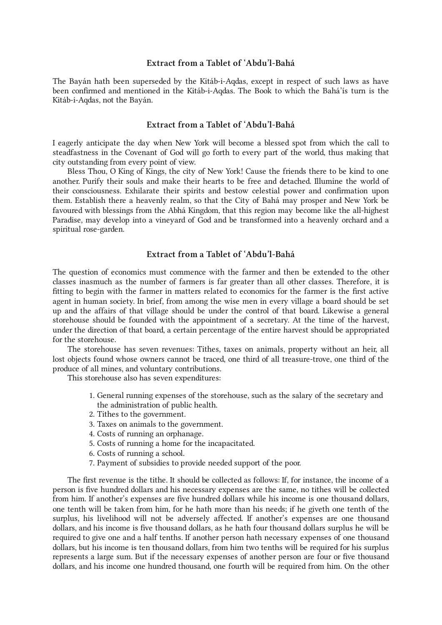# Extract from a Tablet of 'Abdu'l‑Bahá

The Bayán hath been superseded by the Kitáb-i-Aqdas, except in respect of such laws as have been confirmed and mentioned in the Kitáb-i-Aqdas. The Book to which the Bahá'ís turn is the Kitáb-i-Aqdas, not the Bayán.

#### Extract from a Tablet of 'Abdu'l‑Bahá

I eagerly anticipate the day when New York will become a blessed spot from which the call to steadfastness in the Covenant of God will go forth to every part of the world, thus making that city outstanding from every point of view.

Bless Thou, O King of Kings, the city of New York! Cause the friends there to be kind to one another. Purify their souls and make their hearts to be free and detached. Illumine the world of their consciousness. Exhilarate their spirits and bestow celestial power and confirmation upon them. Establish there a heavenly realm, so that the City of Bahá may prosper and New York be favoured with blessings from the Abhá Kingdom, that this region may become like the all-highest Paradise, may develop into a vineyard of God and be transformed into a heavenly orchard and a spiritual rose-garden.

# Extract from a Tablet of 'Abdu'l‑Bahá

The question of economics must commence with the farmer and then be extended to the other classes inasmuch as the number of farmers is far greater than all other classes. Therefore, it is fitting to begin with the farmer in matters related to economics for the farmer is the first active agent in human society. In brief, from among the wise men in every village a board should be set up and the affairs of that village should be under the control of that board. Likewise a general storehouse should be founded with the appointment of a secretary. At the time of the harvest, under the direction of that board, a certain percentage of the entire harvest should be appropriated for the storehouse.

The storehouse has seven revenues: Tithes, taxes on animals, property without an heir, all lost objects found whose owners cannot be traced, one third of all treasure-trove, one third of the produce of all mines, and voluntary contributions.

This storehouse also has seven expenditures:

- 1. General running expenses of the storehouse, such as the salary of the secretary and the administration of public health.
- 2. Tithes to the government.
- 3. Taxes on animals to the government.
- 4. Costs of running an orphanage.
- 5. Costs of running a home for the incapacitated.
- 6. Costs of running a school.
- 7. Payment of subsidies to provide needed support of the poor.

The first revenue is the tithe. It should be collected as follows: If, for instance, the income of a person is five hundred dollars and his necessary expenses are the same, no tithes will be collected from him. If another's expenses are five hundred dollars while his income is one thousand dollars, one tenth will be taken from him, for he hath more than his needs; if he giveth one tenth of the surplus, his livelihood will not be adversely affected. If another's expenses are one thousand dollars, and his income is five thousand dollars, as he hath four thousand dollars surplus he will be required to give one and a half tenths. If another person hath necessary expenses of one thousand dollars, but his income is ten thousand dollars, from him two tenths will be required for his surplus represents a large sum. But if the necessary expenses of another person are four or five thousand dollars, and his income one hundred thousand, one fourth will be required from him. On the other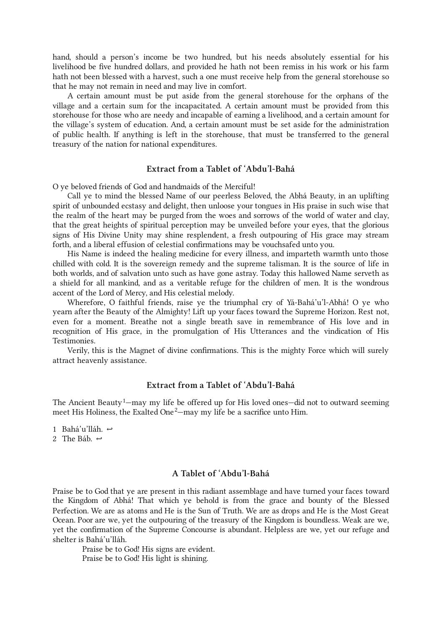hand, should a person's income be two hundred, but his needs absolutely essential for his livelihood be five hundred dollars, and provided he hath not been remiss in his work or his farm hath not been blessed with a harvest, such a one must receive help from the general storehouse so that he may not remain in need and may live in comfort.

A certain amount must be put aside from the general storehouse for the orphans of the village and a certain sum for the incapacitated. A certain amount must be provided from this storehouse for those who are needy and incapable of earning a livelihood, and a certain amount for the village's system of education. And, a certain amount must be set aside for the administration of public health. If anything is left in the storehouse, that must be transferred to the general treasury of the nation for national expenditures.

#### Extract from a Tablet of 'Abdu'l-Bahá

O ye beloved friends of God and handmaids of the Merciful!

Call ye to mind the blessed Name of our peerless Beloved, the Abhá Beauty, in an uplifting spirit of unbounded ecstasy and delight, then unloose your tongues in His praise in such wise that the realm of the heart may be purged from the woes and sorrows of the world of water and clay, that the great heights of spiritual perception may be unveiled before your eyes, that the glorious signs of His Divine Unity may shine resplendent, a fresh outpouring of His grace may stream forth, and a liberal effusion of celestial confirmations may be vouchsafed unto you.

His Name is indeed the healing medicine for every illness, and imparteth warmth unto those chilled with cold. It is the sovereign remedy and the supreme talisman. It is the source of life in both worlds, and of salvation unto such as have gone astray. Today this hallowed Name serveth as a shield for all mankind, and as a veritable refuge for the children of men. It is the wondrous accent of the Lord of Mercy, and His celestial melody.

Wherefore, O faithful friends, raise ye the triumphal cry of Yá-Bahá'u'l-Abhá! O ye who yearn after the Beauty of the Almighty! Lift up your faces toward the Supreme Horizon. Rest not, even for a moment. Breathe not a single breath save in remembrance of His love and in recognition of His grace, in the promulgation of His Utterances and the vindication of His Testimonies.

Verily, this is the Magnet of divine confirmations. This is the mighty Force which will surely attract heavenly assistance.

#### Extract from a Tablet of 'Abdu'l‑Bahá

<span id="page-35-2"></span>The Ancient Beauty<sup>[1](#page-35-0)</sup>-may my life be offered up for His loved ones-did not to outward seeming meet His Holiness, the Exalted One $^2$  $^2$ —may my life be a sacrifice unto Him.

<span id="page-35-1"></span>2 The Báb.  $\leftrightarrow$ 

## A Tablet of 'Abdu'l‑Bahá

Praise be to God that ye are present in this radiant assemblage and have turned your faces toward the Kingdom of Abhá! That which ye behold is from the grace and bounty of the Blessed Perfection. We are as atoms and He is the Sun of Truth. We are as drops and He is the Most Great Ocean. Poor are we, yet the outpouring of the treasury of the Kingdom is boundless. Weak are we, yet the confirmation of the Supreme Concourse is abundant. Helpless are we, yet our refuge and shelter is Bahá'u'lláh.

Praise be to God! His signs are evident.

Praise be to God! His light is shining.

<span id="page-35-0"></span>Bahá'u'lláh. [↩](#page-35-2) 1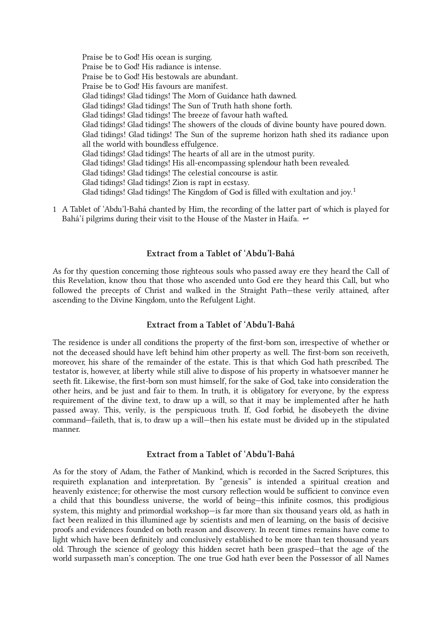Praise be to God! His ocean is surging. Praise be to God! His radiance is intense. Praise be to God! His bestowals are abundant. Praise be to God! His favours are manifest. Glad tidings! Glad tidings! The Morn of Guidance hath dawned. Glad tidings! Glad tidings! The Sun of Truth hath shone forth. Glad tidings! Glad tidings! The breeze of favour hath wafted. Glad tidings! Glad tidings! The showers of the clouds of divine bounty have poured down. Glad tidings! Glad tidings! The Sun of the supreme horizon hath shed its radiance upon all the world with boundless effulgence. Glad tidings! Glad tidings! The hearts of all are in the utmost purity. Glad tidings! Glad tidings! His all-encompassing splendour hath been revealed. Glad tidings! Glad tidings! The celestial concourse is astir. Glad tidings! Glad tidings! Zion is rapt in ecstasy. Glad tidings! Glad tidings! The Kingdom of God is filled with exultation and joy.<sup>[1](#page-36-0)</sup>

<span id="page-36-1"></span><span id="page-36-0"></span>A Tablet of 'Abdu'l‑Bahá chanted by Him, the recording of the latter part of which is played for 1Bahá'í pilgrims during their visit to the House of the Master in Haifa.  $\leftrightarrow$ 

# Extract from a Tablet of 'Abdu'l‑Bahá

As for thy question concerning those righteous souls who passed away ere they heard the Call of this Revelation, know thou that those who ascended unto God ere they heard this Call, but who followed the precepts of Christ and walked in the Straight Path—these verily attained, after ascending to the Divine Kingdom, unto the Refulgent Light.

# Extract from a Tablet of 'Abdu'l‑Bahá

The residence is under all conditions the property of the first-born son, irrespective of whether or not the deceased should have left behind him other property as well. The first-born son receiveth, moreover, his share of the remainder of the estate. This is that which God hath prescribed. The testator is, however, at liberty while still alive to dispose of his property in whatsoever manner he seeth fit. Likewise, the first-born son must himself, for the sake of God, take into consideration the other heirs, and be just and fair to them. In truth, it is obligatory for everyone, by the express requirement of the divine text, to draw up a will, so that it may be implemented after he hath passed away. This, verily, is the perspicuous truth. If, God forbid, he disobeyeth the divine command—faileth, that is, to draw up a will—then his estate must be divided up in the stipulated manner.

# Extract from a Tablet of 'Abdu'l‑Bahá

As for the story of Adam, the Father of Mankind, which is recorded in the Sacred Scriptures, this requireth explanation and interpretation. By "genesis" is intended a spiritual creation and heavenly existence; for otherwise the most cursory reflection would be sufficient to convince even a child that this boundless universe, the world of being—this infinite cosmos, this prodigious system, this mighty and primordial workshop—is far more than six thousand years old, as hath in fact been realized in this illumined age by scientists and men of learning, on the basis of decisive proofs and evidences founded on both reason and discovery. In recent times remains have come to light which have been definitely and conclusively established to be more than ten thousand years old. Through the science of geology this hidden secret hath been grasped—that the age of the world surpasseth man's conception. The one true God hath ever been the Possessor of all Names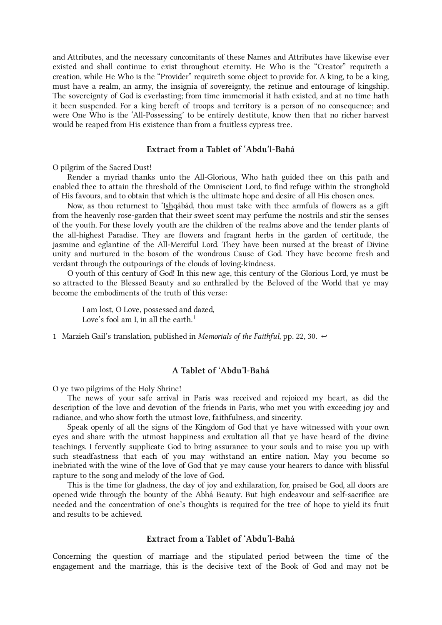and Attributes, and the necessary concomitants of these Names and Attributes have likewise ever existed and shall continue to exist throughout eternity. He Who is the "Creator" requireth a creation, while He Who is the "Provider" requireth some object to provide for. A king, to be a king, must have a realm, an army, the insignia of sovereignty, the retinue and entourage of kingship. The sovereignty of God is everlasting; from time immemorial it hath existed, and at no time hath it been suspended. For a king bereft of troops and territory is a person of no consequence; and were One Who is the 'All-Possessing' to be entirely destitute, know then that no richer harvest would be reaped from His existence than from a fruitless cypress tree.

#### Extract from a Tablet of 'Abdu'l‑Bahá

O pilgrim of the Sacred Dust!

Render a myriad thanks unto the All-Glorious, Who hath guided thee on this path and enabled thee to attain the threshold of the Omniscient Lord, to find refuge within the stronghold of His favours, and to obtain that which is the ultimate hope and desire of all His chosen ones.

Now, as thou returnest to 'Ishqábád, thou must take with thee armfuls of flowers as a gift from the heavenly rose-garden that their sweet scent may perfume the nostrils and stir the senses of the youth. For these lovely youth are the children of the realms above and the tender plants of the all-highest Paradise. They are flowers and fragrant herbs in the garden of certitude, the jasmine and eglantine of the All-Merciful Lord. They have been nursed at the breast of Divine unity and nurtured in the bosom of the wondrous Cause of God. They have become fresh and verdant through the outpourings of the clouds of loving-kindness.

O youth of this century of God! In this new age, this century of the Glorious Lord, ye must be so attracted to the Blessed Beauty and so enthralled by the Beloved of the World that ye may become the embodiments of the truth of this verse:

<span id="page-37-1"></span>I am lost, O Love, possessed and dazed, Love's fool am I, in all the earth.<sup>[1](#page-37-0)</sup>

<span id="page-37-0"></span>1 Marzieh Gail's translation, published in *Memorials of the Faithful*, pp. 22, 30.  $\leftrightarrow$ 

# A Tablet of 'Abdu'l‑Bahá

O ye two pilgrims of the Holy Shrine!

The news of your safe arrival in Paris was received and rejoiced my heart, as did the description of the love and devotion of the friends in Paris, who met you with exceeding joy and radiance, and who show forth the utmost love, faithfulness, and sincerity.

Speak openly of all the signs of the Kingdom of God that ye have witnessed with your own eyes and share with the utmost happiness and exultation all that ye have heard of the divine teachings. I fervently supplicate God to bring assurance to your souls and to raise you up with such steadfastness that each of you may withstand an entire nation. May you become so inebriated with the wine of the love of God that ye may cause your hearers to dance with blissful rapture to the song and melody of the love of God.

This is the time for gladness, the day of joy and exhilaration, for, praised be God, all doors are opened wide through the bounty of the Abhá Beauty. But high endeavour and self-sacrifice are needed and the concentration of one's thoughts is required for the tree of hope to yield its fruit and results to be achieved.

# Extract from a Tablet of 'Abdu'l‑Bahá

Concerning the question of marriage and the stipulated period between the time of the engagement and the marriage, this is the decisive text of the Book of God and may not be